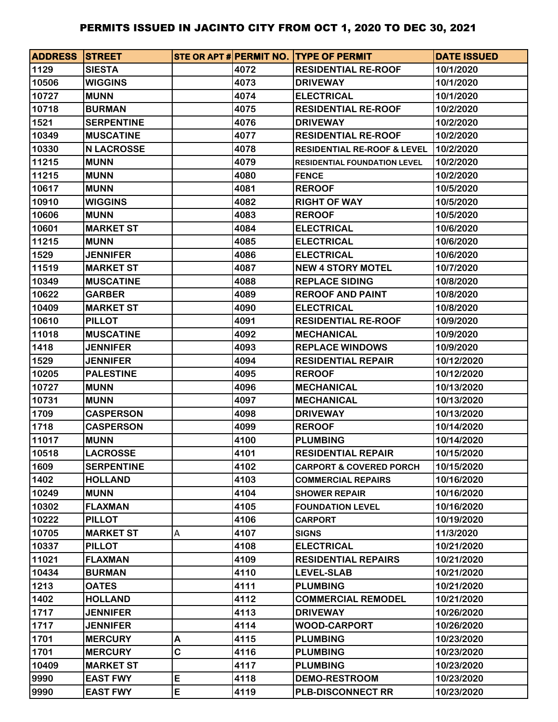| <b>ADDRESS STREET</b> |                   |   |      | STE OR APT # PERMIT NO. TYPE OF PERMIT | <b>DATE ISSUED</b> |
|-----------------------|-------------------|---|------|----------------------------------------|--------------------|
| 1129                  | <b>SIESTA</b>     |   | 4072 | <b>RESIDENTIAL RE-ROOF</b>             | 10/1/2020          |
| 10506                 | <b>WIGGINS</b>    |   | 4073 | <b>DRIVEWAY</b>                        | 10/1/2020          |
| 10727                 | <b>MUNN</b>       |   | 4074 | <b>ELECTRICAL</b>                      | 10/1/2020          |
| 10718                 | <b>BURMAN</b>     |   | 4075 | <b>RESIDENTIAL RE-ROOF</b>             | 10/2/2020          |
| 1521                  | <b>SERPENTINE</b> |   | 4076 | <b>DRIVEWAY</b>                        | 10/2/2020          |
| 10349                 | <b>MUSCATINE</b>  |   | 4077 | <b>RESIDENTIAL RE-ROOF</b>             | 10/2/2020          |
| 10330                 | <b>N LACROSSE</b> |   | 4078 | <b>RESIDENTIAL RE-ROOF &amp; LEVEL</b> | 10/2/2020          |
| 11215                 | <b>MUNN</b>       |   | 4079 | <b>RESIDENTIAL FOUNDATION LEVEL</b>    | 10/2/2020          |
| 11215                 | <b>MUNN</b>       |   | 4080 | <b>FENCE</b>                           | 10/2/2020          |
| 10617                 | <b>MUNN</b>       |   | 4081 | <b>REROOF</b>                          | 10/5/2020          |
| 10910                 | <b>WIGGINS</b>    |   | 4082 | <b>RIGHT OF WAY</b>                    | 10/5/2020          |
| 10606                 | <b>MUNN</b>       |   | 4083 | <b>REROOF</b>                          | 10/5/2020          |
| 10601                 | <b>MARKET ST</b>  |   | 4084 | <b>ELECTRICAL</b>                      | 10/6/2020          |
| 11215                 | <b>MUNN</b>       |   | 4085 | <b>ELECTRICAL</b>                      | 10/6/2020          |
| 1529                  | <b>JENNIFER</b>   |   | 4086 | <b>ELECTRICAL</b>                      | 10/6/2020          |
| 11519                 | <b>MARKET ST</b>  |   | 4087 | <b>NEW 4 STORY MOTEL</b>               | 10/7/2020          |
| 10349                 | <b>MUSCATINE</b>  |   | 4088 | <b>REPLACE SIDING</b>                  | 10/8/2020          |
| 10622                 | <b>GARBER</b>     |   | 4089 | <b>REROOF AND PAINT</b>                | 10/8/2020          |
| 10409                 | <b>MARKET ST</b>  |   | 4090 | <b>ELECTRICAL</b>                      | 10/8/2020          |
| 10610                 | <b>PILLOT</b>     |   | 4091 | <b>RESIDENTIAL RE-ROOF</b>             | 10/9/2020          |
| 11018                 | <b>MUSCATINE</b>  |   | 4092 | <b>MECHANICAL</b>                      | 10/9/2020          |
| 1418                  | <b>JENNIFER</b>   |   | 4093 | <b>REPLACE WINDOWS</b>                 | 10/9/2020          |
| 1529                  | <b>JENNIFER</b>   |   | 4094 | <b>RESIDENTIAL REPAIR</b>              | 10/12/2020         |
| 10205                 | <b>PALESTINE</b>  |   | 4095 | <b>REROOF</b>                          | 10/12/2020         |
| 10727                 | <b>MUNN</b>       |   | 4096 | <b>MECHANICAL</b>                      | 10/13/2020         |
| 10731                 | <b>MUNN</b>       |   | 4097 | <b>MECHANICAL</b>                      | 10/13/2020         |
| 1709                  | <b>CASPERSON</b>  |   | 4098 | <b>DRIVEWAY</b>                        | 10/13/2020         |
| 1718                  | <b>CASPERSON</b>  |   | 4099 | <b>REROOF</b>                          | 10/14/2020         |
| 11017                 | <b>MUNN</b>       |   | 4100 | <b>PLUMBING</b>                        | 10/14/2020         |
| 10518                 | <b>LACROSSE</b>   |   | 4101 | <b>RESIDENTIAL REPAIR</b>              | 10/15/2020         |
| 1609                  | <b>SERPENTINE</b> |   | 4102 | <b>CARPORT &amp; COVERED PORCH</b>     | 10/15/2020         |
| 1402                  | <b>HOLLAND</b>    |   | 4103 | <b>COMMERCIAL REPAIRS</b>              | 10/16/2020         |
| 10249                 | <b>MUNN</b>       |   | 4104 | <b>SHOWER REPAIR</b>                   | 10/16/2020         |
| 10302                 | <b>FLAXMAN</b>    |   | 4105 | <b>FOUNDATION LEVEL</b>                | 10/16/2020         |
| 10222                 | <b>PILLOT</b>     |   | 4106 | <b>CARPORT</b>                         | 10/19/2020         |
| 10705                 | <b>MARKET ST</b>  | A | 4107 | <b>SIGNS</b>                           | 11/3/2020          |
| 10337                 | <b>PILLOT</b>     |   | 4108 | <b>ELECTRICAL</b>                      | 10/21/2020         |
| 11021                 | <b>FLAXMAN</b>    |   | 4109 | <b>RESIDENTIAL REPAIRS</b>             | 10/21/2020         |
| 10434                 | <b>BURMAN</b>     |   | 4110 | <b>LEVEL-SLAB</b>                      | 10/21/2020         |
| 1213                  | <b>OATES</b>      |   | 4111 | <b>PLUMBING</b>                        | 10/21/2020         |
| 1402                  | <b>HOLLAND</b>    |   | 4112 | <b>COMMERCIAL REMODEL</b>              | 10/21/2020         |
| 1717                  | <b>JENNIFER</b>   |   | 4113 | <b>DRIVEWAY</b>                        | 10/26/2020         |
| 1717                  | <b>JENNIFER</b>   |   | 4114 | <b>WOOD-CARPORT</b>                    | 10/26/2020         |
| 1701                  | <b>MERCURY</b>    | Α | 4115 | <b>PLUMBING</b>                        | 10/23/2020         |
| 1701                  | <b>MERCURY</b>    | C | 4116 | <b>PLUMBING</b>                        | 10/23/2020         |
| 10409                 | <b>MARKET ST</b>  |   | 4117 | <b>PLUMBING</b>                        | 10/23/2020         |
| 9990                  | <b>EAST FWY</b>   | E | 4118 | <b>DEMO-RESTROOM</b>                   | 10/23/2020         |
| 9990                  | <b>EAST FWY</b>   | E | 4119 | <b>PLB-DISCONNECT RR</b>               | 10/23/2020         |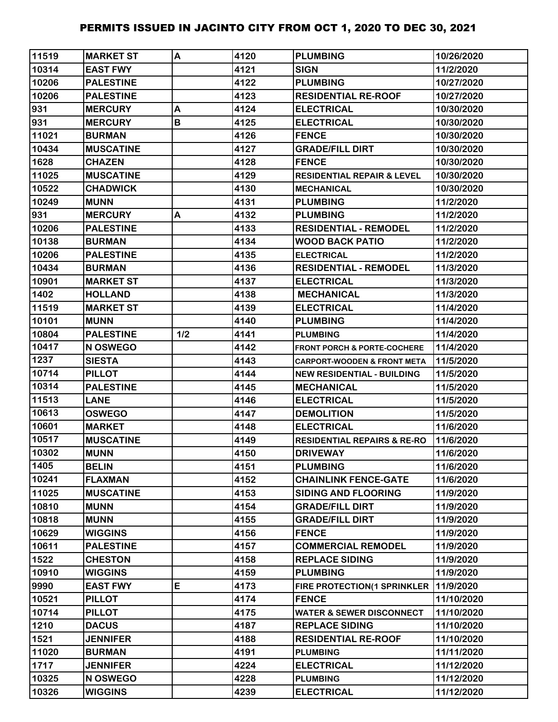| 11519 | <b>MARKET ST</b> | A   | 4120 | <b>PLUMBING</b>                        | 10/26/2020 |
|-------|------------------|-----|------|----------------------------------------|------------|
| 10314 | <b>EAST FWY</b>  |     | 4121 | <b>SIGN</b>                            | 11/2/2020  |
| 10206 | <b>PALESTINE</b> |     | 4122 | <b>PLUMBING</b>                        | 10/27/2020 |
| 10206 | <b>PALESTINE</b> |     | 4123 | <b>RESIDENTIAL RE-ROOF</b>             | 10/27/2020 |
| 931   | <b>MERCURY</b>   | A   | 4124 | <b>ELECTRICAL</b>                      | 10/30/2020 |
| 931   | <b>MERCURY</b>   | В   | 4125 | <b>ELECTRICAL</b>                      | 10/30/2020 |
| 11021 | <b>BURMAN</b>    |     | 4126 | <b>FENCE</b>                           | 10/30/2020 |
| 10434 | <b>MUSCATINE</b> |     | 4127 | <b>GRADE/FILL DIRT</b>                 | 10/30/2020 |
| 1628  | <b>CHAZEN</b>    |     | 4128 | <b>FENCE</b>                           | 10/30/2020 |
| 11025 | <b>MUSCATINE</b> |     | 4129 | <b>RESIDENTIAL REPAIR &amp; LEVEL</b>  | 10/30/2020 |
| 10522 | <b>CHADWICK</b>  |     | 4130 | <b>MECHANICAL</b>                      | 10/30/2020 |
| 10249 | <b>MUNN</b>      |     | 4131 | <b>PLUMBING</b>                        | 11/2/2020  |
| 931   | <b>MERCURY</b>   | A   | 4132 | <b>PLUMBING</b>                        | 11/2/2020  |
| 10206 | <b>PALESTINE</b> |     | 4133 | <b>RESIDENTIAL - REMODEL</b>           | 11/2/2020  |
| 10138 | <b>BURMAN</b>    |     | 4134 | <b>WOOD BACK PATIO</b>                 | 11/2/2020  |
| 10206 | <b>PALESTINE</b> |     | 4135 | <b>ELECTRICAL</b>                      | 11/2/2020  |
| 10434 | <b>BURMAN</b>    |     | 4136 | <b>RESIDENTIAL - REMODEL</b>           | 11/3/2020  |
| 10901 | <b>MARKET ST</b> |     | 4137 | <b>ELECTRICAL</b>                      | 11/3/2020  |
| 1402  | <b>HOLLAND</b>   |     | 4138 | <b>MECHANICAL</b>                      | 11/3/2020  |
| 11519 | <b>MARKET ST</b> |     | 4139 | <b>ELECTRICAL</b>                      | 11/4/2020  |
| 10101 | <b>MUNN</b>      |     | 4140 | <b>PLUMBING</b>                        | 11/4/2020  |
| 10804 | <b>PALESTINE</b> | 1/2 | 4141 | <b>PLUMBING</b>                        | 11/4/2020  |
| 10417 | N OSWEGO         |     | 4142 | <b>FRONT PORCH &amp; PORTE-COCHERE</b> | 11/4/2020  |
| 1237  | <b>SIESTA</b>    |     | 4143 | <b>CARPORT-WOODEN &amp; FRONT META</b> | 11/5/2020  |
| 10714 | <b>PILLOT</b>    |     | 4144 | <b>NEW RESIDENTIAL - BUILDING</b>      | 11/5/2020  |
| 10314 | <b>PALESTINE</b> |     | 4145 | <b>IMECHANICAL</b>                     | 11/5/2020  |
| 11513 | <b>LANE</b>      |     | 4146 | <b>ELECTRICAL</b>                      | 11/5/2020  |
| 10613 | <b>OSWEGO</b>    |     | 4147 | <b>DEMOLITION</b>                      | 11/5/2020  |
| 10601 | <b>MARKET</b>    |     | 4148 | <b>ELECTRICAL</b>                      | 11/6/2020  |
| 10517 | <b>MUSCATINE</b> |     | 4149 | <b>RESIDENTIAL REPAIRS &amp; RE-RO</b> | 11/6/2020  |
| 10302 | <b>MUNN</b>      |     | 4150 | <b>DRIVEWAY</b>                        | 11/6/2020  |
| 1405  | <b>BELIN</b>     |     | 4151 | <b>PLUMBING</b>                        | 11/6/2020  |
| 10241 | <b>FLAXMAN</b>   |     | 4152 | <b>CHAINLINK FENCE-GATE</b>            | 11/6/2020  |
| 11025 | <b>MUSCATINE</b> |     | 4153 | <b>SIDING AND FLOORING</b>             | 11/9/2020  |
| 10810 | <b>MUNN</b>      |     | 4154 | <b>GRADE/FILL DIRT</b>                 | 11/9/2020  |
| 10818 | <b>MUNN</b>      |     | 4155 | <b>GRADE/FILL DIRT</b>                 | 11/9/2020  |
| 10629 | <b>WIGGINS</b>   |     | 4156 | <b>FENCE</b>                           | 11/9/2020  |
| 10611 | <b>PALESTINE</b> |     | 4157 | <b>COMMERCIAL REMODEL</b>              | 11/9/2020  |
| 1522  | <b>CHESTON</b>   |     | 4158 | <b>REPLACE SIDING</b>                  | 11/9/2020  |
| 10910 | <b>WIGGINS</b>   |     | 4159 | <b>PLUMBING</b>                        | 11/9/2020  |
| 9990  | <b>EAST FWY</b>  | E   | 4173 | FIRE PROTECTION(1 SPRINKLER            | 11/9/2020  |
| 10521 | <b>PILLOT</b>    |     | 4174 | <b>FENCE</b>                           | 11/10/2020 |
| 10714 | <b>PILLOT</b>    |     | 4175 | <b>WATER &amp; SEWER DISCONNECT</b>    | 11/10/2020 |
| 1210  | <b>DACUS</b>     |     | 4187 | <b>REPLACE SIDING</b>                  | 11/10/2020 |
| 1521  | <b>JENNIFER</b>  |     | 4188 | <b>RESIDENTIAL RE-ROOF</b>             | 11/10/2020 |
| 11020 | <b>BURMAN</b>    |     | 4191 | <b>PLUMBING</b>                        | 11/11/2020 |
| 1717  | <b>JENNIFER</b>  |     | 4224 | <b>ELECTRICAL</b>                      | 11/12/2020 |
| 10325 | N OSWEGO         |     | 4228 | <b>PLUMBING</b>                        | 11/12/2020 |
| 10326 | <b>WIGGINS</b>   |     | 4239 | <b>ELECTRICAL</b>                      | 11/12/2020 |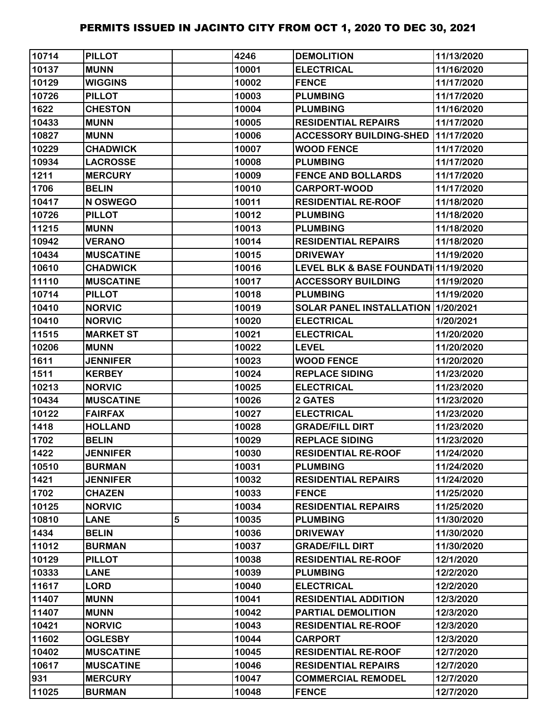| 10714 | <b>PILLOT</b>    |   | 4246  | <b>DEMOLITION</b>                    | 11/13/2020 |
|-------|------------------|---|-------|--------------------------------------|------------|
| 10137 | <b>MUNN</b>      |   | 10001 | <b>ELECTRICAL</b>                    | 11/16/2020 |
| 10129 | <b>WIGGINS</b>   |   | 10002 | <b>FENCE</b>                         | 11/17/2020 |
| 10726 | <b>PILLOT</b>    |   | 10003 | <b>PLUMBING</b>                      | 11/17/2020 |
| 1622  | <b>CHESTON</b>   |   | 10004 | <b>PLUMBING</b>                      | 11/16/2020 |
| 10433 | <b>MUNN</b>      |   | 10005 | <b>RESIDENTIAL REPAIRS</b>           | 11/17/2020 |
| 10827 | <b>MUNN</b>      |   | 10006 | <b>ACCESSORY BUILDING-SHED</b>       | 11/17/2020 |
| 10229 | <b>CHADWICK</b>  |   | 10007 | <b>WOOD FENCE</b>                    | 11/17/2020 |
| 10934 | <b>LACROSSE</b>  |   | 10008 | <b>PLUMBING</b>                      | 11/17/2020 |
| 1211  | <b>MERCURY</b>   |   | 10009 | <b>FENCE AND BOLLARDS</b>            | 11/17/2020 |
| 1706  | <b>BELIN</b>     |   | 10010 | <b>CARPORT-WOOD</b>                  | 11/17/2020 |
| 10417 | N OSWEGO         |   | 10011 | <b>RESIDENTIAL RE-ROOF</b>           | 11/18/2020 |
| 10726 | <b>PILLOT</b>    |   | 10012 | <b>PLUMBING</b>                      | 11/18/2020 |
| 11215 | <b>MUNN</b>      |   | 10013 | <b>PLUMBING</b>                      | 11/18/2020 |
| 10942 | <b>VERANO</b>    |   | 10014 | <b>RESIDENTIAL REPAIRS</b>           | 11/18/2020 |
| 10434 | <b>MUSCATINE</b> |   | 10015 | <b>DRIVEWAY</b>                      | 11/19/2020 |
| 10610 | <b>CHADWICK</b>  |   | 10016 | LEVEL BLK & BASE FOUNDATI 11/19/2020 |            |
| 11110 | <b>MUSCATINE</b> |   | 10017 | <b>ACCESSORY BUILDING</b>            | 11/19/2020 |
| 10714 | <b>PILLOT</b>    |   | 10018 | <b>PLUMBING</b>                      | 11/19/2020 |
| 10410 | <b>NORVIC</b>    |   | 10019 | SOLAR PANEL INSTALLATION 11/20/2021  |            |
| 10410 | <b>NORVIC</b>    |   | 10020 | <b>ELECTRICAL</b>                    | 1/20/2021  |
| 11515 | <b>MARKET ST</b> |   | 10021 | <b>ELECTRICAL</b>                    | 11/20/2020 |
| 10206 | <b>MUNN</b>      |   | 10022 | <b>LEVEL</b>                         | 11/20/2020 |
| 1611  | <b>JENNIFER</b>  |   | 10023 | <b>WOOD FENCE</b>                    | 11/20/2020 |
| 1511  | <b>KERBEY</b>    |   | 10024 | <b>REPLACE SIDING</b>                | 11/23/2020 |
| 10213 | <b>NORVIC</b>    |   | 10025 | <b>ELECTRICAL</b>                    | 11/23/2020 |
| 10434 | <b>MUSCATINE</b> |   | 10026 | 2 GATES                              | 11/23/2020 |
| 10122 | <b>FAIRFAX</b>   |   | 10027 | <b>ELECTRICAL</b>                    | 11/23/2020 |
| 1418  | <b>HOLLAND</b>   |   | 10028 | <b>GRADE/FILL DIRT</b>               | 11/23/2020 |
| 1702  | <b>BELIN</b>     |   | 10029 | <b>REPLACE SIDING</b>                | 11/23/2020 |
| 1422  | <b>JENNIFER</b>  |   | 10030 | <b>RESIDENTIAL RE-ROOF</b>           | 11/24/2020 |
| 10510 | <b>BURMAN</b>    |   | 10031 | <b>PLUMBING</b>                      | 11/24/2020 |
| 1421  | <b>JENNIFER</b>  |   | 10032 | <b>RESIDENTIAL REPAIRS</b>           | 11/24/2020 |
| 1702  | <b>CHAZEN</b>    |   | 10033 | <b>FENCE</b>                         | 11/25/2020 |
| 10125 | <b>NORVIC</b>    |   | 10034 | <b>RESIDENTIAL REPAIRS</b>           | 11/25/2020 |
| 10810 | <b>LANE</b>      | 5 | 10035 | <b>PLUMBING</b>                      | 11/30/2020 |
| 1434  | <b>BELIN</b>     |   | 10036 | <b>DRIVEWAY</b>                      | 11/30/2020 |
| 11012 | <b>BURMAN</b>    |   | 10037 | <b>GRADE/FILL DIRT</b>               | 11/30/2020 |
| 10129 | <b>PILLOT</b>    |   | 10038 | <b>RESIDENTIAL RE-ROOF</b>           | 12/1/2020  |
| 10333 | <b>LANE</b>      |   | 10039 | <b>PLUMBING</b>                      | 12/2/2020  |
| 11617 | <b>LORD</b>      |   | 10040 | <b>ELECTRICAL</b>                    | 12/2/2020  |
| 11407 | <b>MUNN</b>      |   | 10041 | <b>RESIDENTIAL ADDITION</b>          | 12/3/2020  |
| 11407 | <b>MUNN</b>      |   | 10042 | PARTIAL DEMOLITION                   | 12/3/2020  |
| 10421 | <b>NORVIC</b>    |   | 10043 | <b>RESIDENTIAL RE-ROOF</b>           | 12/3/2020  |
| 11602 | <b>OGLESBY</b>   |   | 10044 | <b>CARPORT</b>                       | 12/3/2020  |
| 10402 | <b>MUSCATINE</b> |   | 10045 | <b>RESIDENTIAL RE-ROOF</b>           | 12/7/2020  |
| 10617 | <b>MUSCATINE</b> |   | 10046 | <b>RESIDENTIAL REPAIRS</b>           | 12/7/2020  |
| 931   | <b>MERCURY</b>   |   | 10047 | <b>COMMERCIAL REMODEL</b>            | 12/7/2020  |
| 11025 | <b>BURMAN</b>    |   | 10048 | <b>FENCE</b>                         | 12/7/2020  |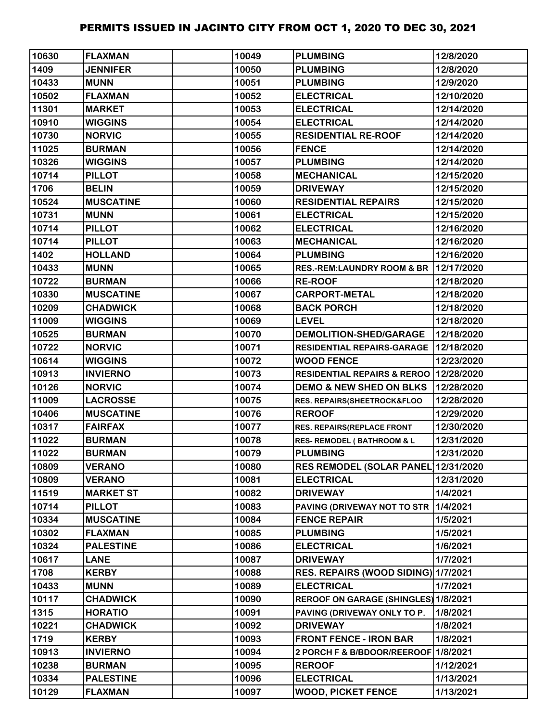| 10630 | <b>FLAXMAN</b>   | 10049 | <b>PLUMBING</b>                          | 12/8/2020  |
|-------|------------------|-------|------------------------------------------|------------|
| 1409  | <b>JENNIFER</b>  | 10050 | <b>PLUMBING</b>                          | 12/8/2020  |
| 10433 | <b>MUNN</b>      | 10051 | <b>PLUMBING</b>                          | 12/9/2020  |
| 10502 | <b>FLAXMAN</b>   | 10052 | <b>ELECTRICAL</b>                        | 12/10/2020 |
| 11301 | <b>MARKET</b>    | 10053 | <b>ELECTRICAL</b>                        | 12/14/2020 |
| 10910 | <b>WIGGINS</b>   | 10054 | <b>ELECTRICAL</b>                        | 12/14/2020 |
| 10730 | <b>NORVIC</b>    | 10055 | <b>RESIDENTIAL RE-ROOF</b>               | 12/14/2020 |
| 11025 | <b>BURMAN</b>    | 10056 | <b>FENCE</b>                             | 12/14/2020 |
| 10326 | <b>WIGGINS</b>   | 10057 | <b>PLUMBING</b>                          | 12/14/2020 |
| 10714 | <b>PILLOT</b>    | 10058 | <b>MECHANICAL</b>                        | 12/15/2020 |
| 1706  | <b>BELIN</b>     | 10059 | <b>DRIVEWAY</b>                          | 12/15/2020 |
| 10524 | <b>MUSCATINE</b> | 10060 | <b>RESIDENTIAL REPAIRS</b>               | 12/15/2020 |
| 10731 | <b>MUNN</b>      | 10061 | <b>ELECTRICAL</b>                        | 12/15/2020 |
| 10714 | <b>PILLOT</b>    | 10062 | <b>ELECTRICAL</b>                        | 12/16/2020 |
| 10714 | <b>PILLOT</b>    | 10063 | <b>MECHANICAL</b>                        | 12/16/2020 |
| 1402  | <b>HOLLAND</b>   | 10064 | <b>PLUMBING</b>                          | 12/16/2020 |
| 10433 | <b>MUNN</b>      | 10065 | <b>RES.-REM:LAUNDRY ROOM &amp; BR</b>    | 12/17/2020 |
| 10722 | <b>BURMAN</b>    | 10066 | <b>RE-ROOF</b>                           | 12/18/2020 |
| 10330 | <b>MUSCATINE</b> | 10067 | <b>CARPORT-METAL</b>                     | 12/18/2020 |
| 10209 | <b>CHADWICK</b>  | 10068 | <b>BACK PORCH</b>                        | 12/18/2020 |
| 11009 | <b>WIGGINS</b>   | 10069 | <b>LEVEL</b>                             | 12/18/2020 |
| 10525 | <b>BURMAN</b>    | 10070 | <b>DEMOLITION-SHED/GARAGE</b>            | 12/18/2020 |
| 10722 | <b>NORVIC</b>    | 10071 | <b>RESIDENTIAL REPAIRS-GARAGE</b>        | 12/18/2020 |
| 10614 | <b>WIGGINS</b>   | 10072 | <b>WOOD FENCE</b>                        | 12/23/2020 |
| 10913 | <b>INVIERNO</b>  | 10073 | RESIDENTIAL REPAIRS & REROO   12/28/2020 |            |
| 10126 | <b>NORVIC</b>    | 10074 | <b>DEMO &amp; NEW SHED ON BLKS</b>       | 12/28/2020 |
| 11009 | <b>LACROSSE</b>  | 10075 | RES. REPAIRS(SHEETROCK&FLOO              | 12/28/2020 |
| 10406 | <b>MUSCATINE</b> | 10076 | <b>REROOF</b>                            | 12/29/2020 |
| 10317 | <b>FAIRFAX</b>   | 10077 | RES. REPAIRS(REPLACE FRONT               | 12/30/2020 |
| 11022 | <b>BURMAN</b>    | 10078 | <b>RES- REMODEL (BATHROOM &amp; L</b>    | 12/31/2020 |
| 11022 | <b>BURMAN</b>    | 10079 | <b>PLUMBING</b>                          | 12/31/2020 |
| 10809 | <b>VERANO</b>    | 10080 | RES REMODEL (SOLAR PANEL 12/31/2020      |            |
| 10809 | <b>VERANO</b>    | 10081 | <b>ELECTRICAL</b>                        | 12/31/2020 |
| 11519 | <b>MARKET ST</b> | 10082 | <b>DRIVEWAY</b>                          | 1/4/2021   |
| 10714 | <b>PILLOT</b>    | 10083 | PAVING (DRIVEWAY NOT TO STR              | 1/4/2021   |
| 10334 | <b>MUSCATINE</b> | 10084 | <b>FENCE REPAIR</b>                      | 1/5/2021   |
| 10302 | <b>FLAXMAN</b>   | 10085 | <b>PLUMBING</b>                          | 1/5/2021   |
| 10324 | <b>PALESTINE</b> | 10086 | <b>ELECTRICAL</b>                        | 1/6/2021   |
| 10617 | <b>LANE</b>      | 10087 | <b>DRIVEWAY</b>                          | 1/7/2021   |
| 1708  | <b>KERBY</b>     | 10088 | RES. REPAIRS (WOOD SIDING) 1/7/2021      |            |
| 10433 | <b>MUNN</b>      | 10089 | <b>ELECTRICAL</b>                        | 1/7/2021   |
| 10117 | <b>CHADWICK</b>  | 10090 | REROOF ON GARAGE (SHINGLES) 1/8/2021     |            |
| 1315  | <b>HORATIO</b>   | 10091 | PAVING (DRIVEWAY ONLY TO P.              | 1/8/2021   |
| 10221 | <b>CHADWICK</b>  | 10092 | <b>DRIVEWAY</b>                          | 1/8/2021   |
| 1719  | <b>KERBY</b>     | 10093 | <b>FRONT FENCE - IRON BAR</b>            | 1/8/2021   |
| 10913 | <b>INVIERNO</b>  | 10094 | 2 PORCH F & B/BDOOR/REEROOF 1/8/2021     |            |
| 10238 | <b>BURMAN</b>    | 10095 | <b>REROOF</b>                            | 1/12/2021  |
| 10334 | <b>PALESTINE</b> | 10096 | <b>ELECTRICAL</b>                        | 1/13/2021  |
| 10129 | <b>FLAXMAN</b>   | 10097 | <b>WOOD, PICKET FENCE</b>                | 1/13/2021  |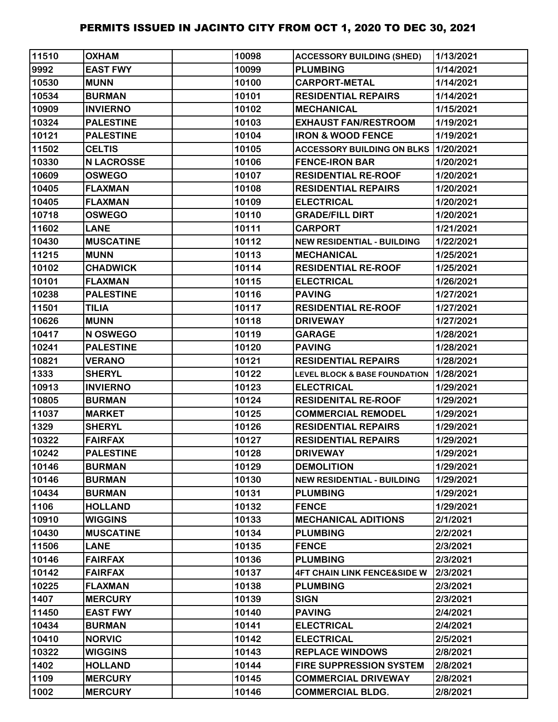| 11510 | <b>OXHAM</b>      | 10098 | <b>ACCESSORY BUILDING (SHED)</b>            | 1/13/2021 |
|-------|-------------------|-------|---------------------------------------------|-----------|
| 9992  | <b>EAST FWY</b>   | 10099 | <b>PLUMBING</b>                             | 1/14/2021 |
| 10530 | <b>MUNN</b>       | 10100 | <b>CARPORT-METAL</b>                        | 1/14/2021 |
| 10534 | <b>BURMAN</b>     | 10101 | <b>RESIDENTIAL REPAIRS</b>                  | 1/14/2021 |
| 10909 | <b>INVIERNO</b>   | 10102 | <b>MECHANICAL</b>                           | 1/15/2021 |
| 10324 | <b>PALESTINE</b>  | 10103 | <b>EXHAUST FAN/RESTROOM</b>                 | 1/19/2021 |
| 10121 | <b>PALESTINE</b>  | 10104 | <b>IRON &amp; WOOD FENCE</b>                | 1/19/2021 |
| 11502 | <b>CELTIS</b>     | 10105 | <b>ACCESSORY BUILDING ON BLKS 1/20/2021</b> |           |
| 10330 | <b>N LACROSSE</b> | 10106 | <b>FENCE-IRON BAR</b>                       | 1/20/2021 |
| 10609 | <b>OSWEGO</b>     | 10107 | <b>RESIDENTIAL RE-ROOF</b>                  | 1/20/2021 |
| 10405 | <b>FLAXMAN</b>    | 10108 | <b>RESIDENTIAL REPAIRS</b>                  | 1/20/2021 |
| 10405 | <b>FLAXMAN</b>    | 10109 | <b>ELECTRICAL</b>                           | 1/20/2021 |
| 10718 | <b>OSWEGO</b>     | 10110 | <b>GRADE/FILL DIRT</b>                      | 1/20/2021 |
| 11602 | <b>LANE</b>       | 10111 | <b>CARPORT</b>                              | 1/21/2021 |
| 10430 | <b>MUSCATINE</b>  | 10112 | <b>NEW RESIDENTIAL - BUILDING</b>           | 1/22/2021 |
| 11215 | <b>MUNN</b>       | 10113 | <b>MECHANICAL</b>                           | 1/25/2021 |
| 10102 | <b>CHADWICK</b>   | 10114 | <b>RESIDENTIAL RE-ROOF</b>                  | 1/25/2021 |
| 10101 | <b>FLAXMAN</b>    | 10115 | <b>ELECTRICAL</b>                           | 1/26/2021 |
| 10238 | <b>PALESTINE</b>  | 10116 | <b>PAVING</b>                               | 1/27/2021 |
| 11501 | <b>TILIA</b>      | 10117 | <b>RESIDENTIAL RE-ROOF</b>                  | 1/27/2021 |
| 10626 | <b>MUNN</b>       | 10118 | <b>DRIVEWAY</b>                             | 1/27/2021 |
| 10417 | N OSWEGO          | 10119 | <b>GARAGE</b>                               | 1/28/2021 |
| 10241 | <b>PALESTINE</b>  | 10120 | <b>PAVING</b>                               | 1/28/2021 |
| 10821 | <b>VERANO</b>     | 10121 | <b>RESIDENTIAL REPAIRS</b>                  | 1/28/2021 |
| 1333  | <b>SHERYL</b>     | 10122 | <b>LEVEL BLOCK &amp; BASE FOUNDATION</b>    | 1/28/2021 |
| 10913 | <b>INVIERNO</b>   | 10123 | <b>ELECTRICAL</b>                           | 1/29/2021 |
| 10805 | <b>BURMAN</b>     | 10124 | <b>RESIDENITAL RE-ROOF</b>                  | 1/29/2021 |
| 11037 | <b>MARKET</b>     | 10125 | <b>COMMERCIAL REMODEL</b>                   | 1/29/2021 |
| 1329  | <b>SHERYL</b>     | 10126 | <b>RESIDENTIAL REPAIRS</b>                  | 1/29/2021 |
| 10322 | <b>FAIRFAX</b>    | 10127 | <b>RESIDENTIAL REPAIRS</b>                  | 1/29/2021 |
| 10242 | <b>PALESTINE</b>  | 10128 | <b>DRIVEWAY</b>                             | 1/29/2021 |
| 10146 | <b>BURMAN</b>     | 10129 | <b>DEMOLITION</b>                           | 1/29/2021 |
| 10146 | <b>BURMAN</b>     | 10130 | <b>NEW RESIDENTIAL - BUILDING</b>           | 1/29/2021 |
| 10434 | <b>BURMAN</b>     | 10131 | <b>PLUMBING</b>                             | 1/29/2021 |
| 1106  | <b>HOLLAND</b>    | 10132 | <b>FENCE</b>                                | 1/29/2021 |
| 10910 | <b>WIGGINS</b>    | 10133 | <b>MECHANICAL ADITIONS</b>                  | 2/1/2021  |
| 10430 | <b>MUSCATINE</b>  | 10134 | <b>PLUMBING</b>                             | 2/2/2021  |
| 11506 | <b>LANE</b>       | 10135 | <b>FENCE</b>                                | 2/3/2021  |
| 10146 | <b>FAIRFAX</b>    | 10136 | <b>PLUMBING</b>                             | 2/3/2021  |
| 10142 | <b>FAIRFAX</b>    | 10137 | <b>4FT CHAIN LINK FENCE&amp;SIDE W</b>      | 2/3/2021  |
| 10225 | <b>FLAXMAN</b>    | 10138 | <b>PLUMBING</b>                             | 2/3/2021  |
| 1407  | <b>MERCURY</b>    | 10139 | <b>SIGN</b>                                 | 2/3/2021  |
| 11450 | <b>EAST FWY</b>   | 10140 | <b>PAVING</b>                               | 2/4/2021  |
| 10434 | <b>BURMAN</b>     | 10141 | <b>ELECTRICAL</b>                           | 2/4/2021  |
| 10410 | <b>NORVIC</b>     | 10142 | <b>ELECTRICAL</b>                           | 2/5/2021  |
| 10322 | <b>WIGGINS</b>    | 10143 | <b>REPLACE WINDOWS</b>                      | 2/8/2021  |
| 1402  | <b>HOLLAND</b>    | 10144 | <b>FIRE SUPPRESSION SYSTEM</b>              | 2/8/2021  |
| 1109  | <b>MERCURY</b>    | 10145 | <b>COMMERCIAL DRIVEWAY</b>                  | 2/8/2021  |
| 1002  | <b>MERCURY</b>    | 10146 | <b>COMMERCIAL BLDG.</b>                     | 2/8/2021  |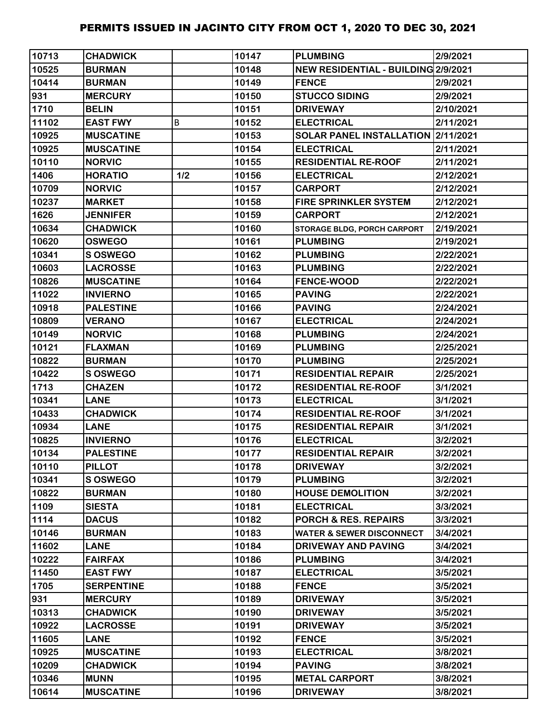| 10713 | <b>CHADWICK</b>   |     | 10147 | <b>PLUMBING</b>                     | 2/9/2021  |
|-------|-------------------|-----|-------|-------------------------------------|-----------|
| 10525 | <b>BURMAN</b>     |     | 10148 | NEW RESIDENTIAL - BUILDING 2/9/2021 |           |
| 10414 | <b>BURMAN</b>     |     | 10149 | <b>FENCE</b>                        | 2/9/2021  |
| 931   | <b>MERCURY</b>    |     | 10150 | <b>STUCCO SIDING</b>                | 2/9/2021  |
| 1710  | <b>BELIN</b>      |     | 10151 | <b>DRIVEWAY</b>                     | 2/10/2021 |
| 11102 | <b>EAST FWY</b>   | B   | 10152 | <b>ELECTRICAL</b>                   | 2/11/2021 |
| 10925 | <b>MUSCATINE</b>  |     | 10153 | SOLAR PANEL INSTALLATION 2/11/2021  |           |
| 10925 | <b>MUSCATINE</b>  |     | 10154 | <b>ELECTRICAL</b>                   | 2/11/2021 |
| 10110 | <b>NORVIC</b>     |     | 10155 | <b>RESIDENTIAL RE-ROOF</b>          | 2/11/2021 |
| 1406  | <b>HORATIO</b>    | 1/2 | 10156 | <b>ELECTRICAL</b>                   | 2/12/2021 |
| 10709 | <b>NORVIC</b>     |     | 10157 | <b>CARPORT</b>                      | 2/12/2021 |
| 10237 | <b>MARKET</b>     |     | 10158 | <b>FIRE SPRINKLER SYSTEM</b>        | 2/12/2021 |
| 1626  | <b>JENNIFER</b>   |     | 10159 | <b>CARPORT</b>                      | 2/12/2021 |
| 10634 | <b>CHADWICK</b>   |     | 10160 | STORAGE BLDG, PORCH CARPORT         | 2/19/2021 |
| 10620 | <b>OSWEGO</b>     |     | 10161 | <b>PLUMBING</b>                     | 2/19/2021 |
| 10341 | <b>S OSWEGO</b>   |     | 10162 | <b>PLUMBING</b>                     | 2/22/2021 |
| 10603 | <b>LACROSSE</b>   |     | 10163 | <b>PLUMBING</b>                     | 2/22/2021 |
| 10826 | <b>MUSCATINE</b>  |     | 10164 | <b>FENCE-WOOD</b>                   | 2/22/2021 |
| 11022 | <b>INVIERNO</b>   |     | 10165 | <b>PAVING</b>                       | 2/22/2021 |
| 10918 | <b>PALESTINE</b>  |     | 10166 | <b>PAVING</b>                       | 2/24/2021 |
| 10809 | <b>VERANO</b>     |     | 10167 | <b>ELECTRICAL</b>                   | 2/24/2021 |
| 10149 | <b>NORVIC</b>     |     | 10168 | <b>PLUMBING</b>                     | 2/24/2021 |
| 10121 | <b>FLAXMAN</b>    |     | 10169 | <b>PLUMBING</b>                     | 2/25/2021 |
| 10822 | <b>BURMAN</b>     |     | 10170 | <b>PLUMBING</b>                     | 2/25/2021 |
| 10422 | <b>S OSWEGO</b>   |     | 10171 | <b>RESIDENTIAL REPAIR</b>           | 2/25/2021 |
| 1713  | <b>CHAZEN</b>     |     | 10172 | <b>RESIDENTIAL RE-ROOF</b>          | 3/1/2021  |
| 10341 | <b>LANE</b>       |     | 10173 | <b>ELECTRICAL</b>                   | 3/1/2021  |
| 10433 | <b>CHADWICK</b>   |     | 10174 | <b>RESIDENTIAL RE-ROOF</b>          | 3/1/2021  |
| 10934 | <b>LANE</b>       |     | 10175 | <b>RESIDENTIAL REPAIR</b>           | 3/1/2021  |
| 10825 | <b>INVIERNO</b>   |     | 10176 | <b>ELECTRICAL</b>                   | 3/2/2021  |
| 10134 | <b>PALESTINE</b>  |     | 10177 | <b>RESIDENTIAL REPAIR</b>           | 3/2/2021  |
| 10110 | <b>PILLOT</b>     |     | 10178 | <b>DRIVEWAY</b>                     | 3/2/2021  |
| 10341 | <b>S OSWEGO</b>   |     | 10179 | <b>PLUMBING</b>                     | 3/2/2021  |
| 10822 | <b>BURMAN</b>     |     | 10180 | <b>HOUSE DEMOLITION</b>             | 3/2/2021  |
| 1109  | <b>SIESTA</b>     |     | 10181 | <b>ELECTRICAL</b>                   | 3/3/2021  |
| 1114  | <b>DACUS</b>      |     | 10182 | <b>PORCH &amp; RES. REPAIRS</b>     | 3/3/2021  |
| 10146 | <b>BURMAN</b>     |     | 10183 | <b>WATER &amp; SEWER DISCONNECT</b> | 3/4/2021  |
| 11602 | <b>LANE</b>       |     | 10184 | <b>DRIVEWAY AND PAVING</b>          | 3/4/2021  |
| 10222 | <b>FAIRFAX</b>    |     | 10186 | <b>PLUMBING</b>                     | 3/4/2021  |
| 11450 | <b>EAST FWY</b>   |     | 10187 | <b>ELECTRICAL</b>                   | 3/5/2021  |
| 1705  | <b>SERPENTINE</b> |     | 10188 | <b>FENCE</b>                        | 3/5/2021  |
| 931   | <b>MERCURY</b>    |     | 10189 | <b>DRIVEWAY</b>                     | 3/5/2021  |
| 10313 | <b>CHADWICK</b>   |     | 10190 | <b>DRIVEWAY</b>                     | 3/5/2021  |
| 10922 | <b>LACROSSE</b>   |     | 10191 | <b>DRIVEWAY</b>                     | 3/5/2021  |
| 11605 | <b>LANE</b>       |     | 10192 | <b>FENCE</b>                        | 3/5/2021  |
| 10925 | <b>MUSCATINE</b>  |     | 10193 | <b>ELECTRICAL</b>                   | 3/8/2021  |
| 10209 | <b>CHADWICK</b>   |     | 10194 | <b>PAVING</b>                       | 3/8/2021  |
| 10346 | <b>MUNN</b>       |     | 10195 | <b>METAL CARPORT</b>                | 3/8/2021  |
| 10614 | <b>MUSCATINE</b>  |     | 10196 | <b>DRIVEWAY</b>                     | 3/8/2021  |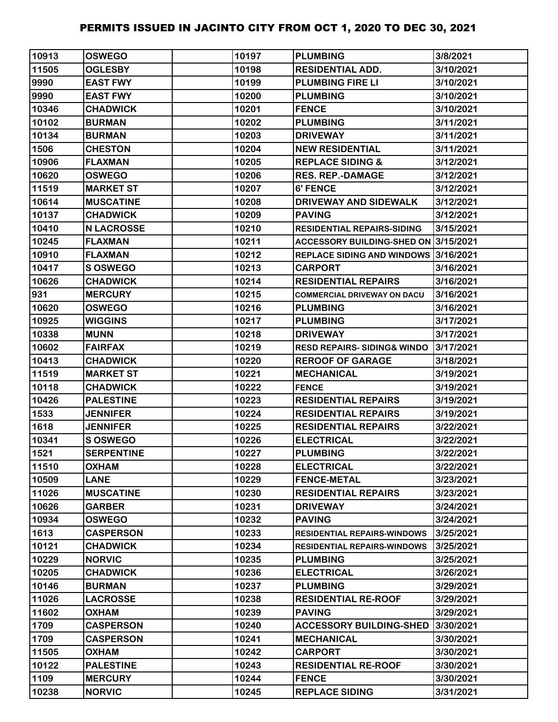| 10913 | <b>OSWEGO</b>     | 10197 | <b>PLUMBING</b>                       | 3/8/2021  |
|-------|-------------------|-------|---------------------------------------|-----------|
| 11505 | <b>OGLESBY</b>    | 10198 | <b>RESIDENTIAL ADD.</b>               | 3/10/2021 |
| 9990  | <b>EAST FWY</b>   | 10199 | <b>PLUMBING FIRE LI</b>               | 3/10/2021 |
| 9990  | <b>EAST FWY</b>   | 10200 | <b>PLUMBING</b>                       | 3/10/2021 |
| 10346 | <b>CHADWICK</b>   | 10201 | <b>FENCE</b>                          | 3/10/2021 |
| 10102 | <b>BURMAN</b>     | 10202 | <b>PLUMBING</b>                       | 3/11/2021 |
| 10134 | <b>BURMAN</b>     | 10203 | <b>DRIVEWAY</b>                       | 3/11/2021 |
| 1506  | <b>CHESTON</b>    | 10204 | <b>NEW RESIDENTIAL</b>                | 3/11/2021 |
| 10906 | <b>FLAXMAN</b>    | 10205 | <b>REPLACE SIDING &amp;</b>           | 3/12/2021 |
| 10620 | <b>OSWEGO</b>     | 10206 | <b>RES. REP.-DAMAGE</b>               | 3/12/2021 |
| 11519 | <b>MARKET ST</b>  | 10207 | 6' FENCE                              | 3/12/2021 |
| 10614 | <b>MUSCATINE</b>  | 10208 | DRIVEWAY AND SIDEWALK                 | 3/12/2021 |
| 10137 | <b>CHADWICK</b>   | 10209 | <b>PAVING</b>                         | 3/12/2021 |
| 10410 | <b>N LACROSSE</b> | 10210 | <b>RESIDENTIAL REPAIRS-SIDING</b>     | 3/15/2021 |
| 10245 | <b>FLAXMAN</b>    | 10211 | ACCESSORY BUILDING-SHED ON 3/15/2021  |           |
| 10910 | <b>FLAXMAN</b>    | 10212 | REPLACE SIDING AND WINDOWS 3/16/2021  |           |
| 10417 | S OSWEGO          | 10213 | <b>CARPORT</b>                        | 3/16/2021 |
| 10626 | <b>CHADWICK</b>   | 10214 | <b>RESIDENTIAL REPAIRS</b>            | 3/16/2021 |
| 931   | <b>MERCURY</b>    | 10215 | <b>COMMERCIAL DRIVEWAY ON DACU</b>    | 3/16/2021 |
| 10620 | <b>OSWEGO</b>     | 10216 | <b>PLUMBING</b>                       | 3/16/2021 |
| 10925 | <b>WIGGINS</b>    | 10217 | <b>PLUMBING</b>                       | 3/17/2021 |
| 10338 | <b>MUNN</b>       | 10218 | <b>DRIVEWAY</b>                       | 3/17/2021 |
| 10602 | <b>FAIRFAX</b>    | 10219 | <b>RESD REPAIRS-SIDING&amp; WINDO</b> | 3/17/2021 |
| 10413 | <b>CHADWICK</b>   | 10220 | <b>REROOF OF GARAGE</b>               | 3/18/2021 |
| 11519 | <b>MARKET ST</b>  | 10221 | <b>MECHANICAL</b>                     | 3/19/2021 |
| 10118 | <b>CHADWICK</b>   | 10222 | <b>FENCE</b>                          | 3/19/2021 |
| 10426 | <b>PALESTINE</b>  | 10223 | <b>RESIDENTIAL REPAIRS</b>            | 3/19/2021 |
| 1533  | <b>JENNIFER</b>   | 10224 | <b>RESIDENTIAL REPAIRS</b>            | 3/19/2021 |
| 1618  | <b>JENNIFER</b>   | 10225 | <b>RESIDENTIAL REPAIRS</b>            | 3/22/2021 |
| 10341 | S OSWEGO          | 10226 | <b>ELECTRICAL</b>                     | 3/22/2021 |
| 1521  | <b>SERPENTINE</b> | 10227 | <b>PLUMBING</b>                       | 3/22/2021 |
| 11510 | <b>OXHAM</b>      | 10228 | <b>ELECTRICAL</b>                     | 3/22/2021 |
| 10509 | <b>LANE</b>       | 10229 | <b>FENCE-METAL</b>                    | 3/23/2021 |
| 11026 | <b>MUSCATINE</b>  | 10230 | <b>RESIDENTIAL REPAIRS</b>            | 3/23/2021 |
| 10626 | <b>GARBER</b>     | 10231 | <b>DRIVEWAY</b>                       | 3/24/2021 |
| 10934 | <b>OSWEGO</b>     | 10232 | <b>PAVING</b>                         | 3/24/2021 |
| 1613  | <b>CASPERSON</b>  | 10233 | <b>RESIDENTIAL REPAIRS-WINDOWS</b>    | 3/25/2021 |
| 10121 | <b>CHADWICK</b>   | 10234 | <b>RESIDENTIAL REPAIRS-WINDOWS</b>    | 3/25/2021 |
| 10229 | <b>NORVIC</b>     | 10235 | <b>PLUMBING</b>                       | 3/25/2021 |
| 10205 | <b>CHADWICK</b>   | 10236 | <b>ELECTRICAL</b>                     | 3/26/2021 |
| 10146 | <b>BURMAN</b>     | 10237 | <b>PLUMBING</b>                       | 3/29/2021 |
| 11026 | <b>LACROSSE</b>   | 10238 | <b>RESIDENTIAL RE-ROOF</b>            | 3/29/2021 |
| 11602 | <b>OXHAM</b>      | 10239 | <b>PAVING</b>                         | 3/29/2021 |
| 1709  | <b>CASPERSON</b>  | 10240 | <b>ACCESSORY BUILDING-SHED</b>        | 3/30/2021 |
| 1709  | <b>CASPERSON</b>  | 10241 | <b>MECHANICAL</b>                     | 3/30/2021 |
| 11505 | <b>OXHAM</b>      | 10242 | <b>CARPORT</b>                        | 3/30/2021 |
| 10122 | <b>PALESTINE</b>  | 10243 | <b>RESIDENTIAL RE-ROOF</b>            | 3/30/2021 |
| 1109  | <b>MERCURY</b>    | 10244 | <b>FENCE</b>                          | 3/30/2021 |
| 10238 | <b>NORVIC</b>     | 10245 | <b>REPLACE SIDING</b>                 | 3/31/2021 |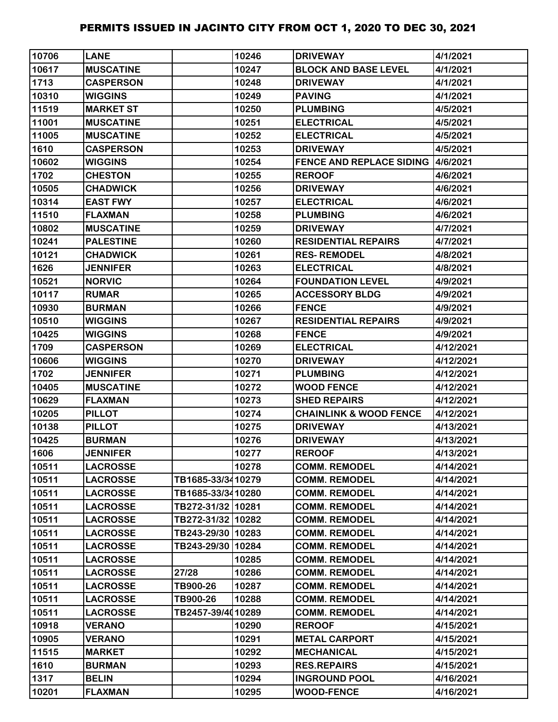| 10706 | <b>LANE</b>      |                   | 10246 | <b>DRIVEWAY</b>                          | 4/1/2021  |
|-------|------------------|-------------------|-------|------------------------------------------|-----------|
| 10617 | <b>MUSCATINE</b> |                   | 10247 | <b>BLOCK AND BASE LEVEL</b>              | 4/1/2021  |
| 1713  | <b>CASPERSON</b> |                   | 10248 | <b>DRIVEWAY</b>                          | 4/1/2021  |
| 10310 | <b>WIGGINS</b>   |                   | 10249 | <b>PAVING</b>                            | 4/1/2021  |
| 11519 | <b>MARKET ST</b> |                   | 10250 | <b>PLUMBING</b>                          | 4/5/2021  |
| 11001 | <b>MUSCATINE</b> |                   | 10251 | <b>ELECTRICAL</b>                        | 4/5/2021  |
| 11005 | <b>MUSCATINE</b> |                   | 10252 | <b>ELECTRICAL</b>                        | 4/5/2021  |
| 1610  | <b>CASPERSON</b> |                   | 10253 | <b>DRIVEWAY</b>                          | 4/5/2021  |
| 10602 | <b>WIGGINS</b>   |                   | 10254 | <b>FENCE AND REPLACE SIDING 4/6/2021</b> |           |
| 1702  | <b>CHESTON</b>   |                   | 10255 | <b>REROOF</b>                            | 4/6/2021  |
| 10505 | <b>CHADWICK</b>  |                   | 10256 | <b>DRIVEWAY</b>                          | 4/6/2021  |
| 10314 | <b>EAST FWY</b>  |                   | 10257 | <b>ELECTRICAL</b>                        | 4/6/2021  |
| 11510 | <b>FLAXMAN</b>   |                   | 10258 | <b>PLUMBING</b>                          | 4/6/2021  |
| 10802 | <b>MUSCATINE</b> |                   | 10259 | <b>DRIVEWAY</b>                          | 4/7/2021  |
| 10241 | <b>PALESTINE</b> |                   | 10260 | <b>RESIDENTIAL REPAIRS</b>               | 4/7/2021  |
| 10121 | <b>CHADWICK</b>  |                   | 10261 | <b>RES-REMODEL</b>                       | 4/8/2021  |
| 1626  | <b>JENNIFER</b>  |                   | 10263 | <b>ELECTRICAL</b>                        | 4/8/2021  |
| 10521 | <b>NORVIC</b>    |                   | 10264 | <b>FOUNDATION LEVEL</b>                  | 4/9/2021  |
| 10117 | <b>RUMAR</b>     |                   | 10265 | <b>ACCESSORY BLDG</b>                    | 4/9/2021  |
| 10930 | <b>BURMAN</b>    |                   | 10266 | <b>FENCE</b>                             | 4/9/2021  |
| 10510 | <b>WIGGINS</b>   |                   | 10267 | <b>RESIDENTIAL REPAIRS</b>               | 4/9/2021  |
| 10425 | <b>WIGGINS</b>   |                   | 10268 | <b>FENCE</b>                             | 4/9/2021  |
| 1709  | <b>CASPERSON</b> |                   | 10269 | <b>ELECTRICAL</b>                        | 4/12/2021 |
| 10606 | <b>WIGGINS</b>   |                   | 10270 | <b>DRIVEWAY</b>                          | 4/12/2021 |
| 1702  | <b>JENNIFER</b>  |                   | 10271 | <b>PLUMBING</b>                          | 4/12/2021 |
| 10405 | <b>MUSCATINE</b> |                   | 10272 | <b>WOOD FENCE</b>                        | 4/12/2021 |
| 10629 | <b>FLAXMAN</b>   |                   | 10273 | <b>SHED REPAIRS</b>                      | 4/12/2021 |
| 10205 | <b>PILLOT</b>    |                   | 10274 | <b>CHAINLINK &amp; WOOD FENCE</b>        | 4/12/2021 |
| 10138 | <b>PILLOT</b>    |                   | 10275 | <b>DRIVEWAY</b>                          | 4/13/2021 |
| 10425 | <b>BURMAN</b>    |                   | 10276 | <b>DRIVEWAY</b>                          | 4/13/2021 |
| 1606  | <b>JENNIFER</b>  |                   | 10277 | <b>REROOF</b>                            | 4/13/2021 |
| 10511 | <b>LACROSSE</b>  |                   | 10278 | <b>COMM. REMODEL</b>                     | 4/14/2021 |
| 10511 | <b>LACROSSE</b>  | TB1685-33/3410279 |       | <b>COMM. REMODEL</b>                     | 4/14/2021 |
| 10511 | <b>LACROSSE</b>  | TB1685-33/3410280 |       | <b>COMM. REMODEL</b>                     | 4/14/2021 |
| 10511 | <b>LACROSSE</b>  | TB272-31/32 10281 |       | <b>COMM. REMODEL</b>                     | 4/14/2021 |
| 10511 | <b>LACROSSE</b>  | TB272-31/32 10282 |       | <b>COMM. REMODEL</b>                     | 4/14/2021 |
| 10511 | <b>LACROSSE</b>  | TB243-29/30 10283 |       | <b>COMM. REMODEL</b>                     | 4/14/2021 |
| 10511 | <b>LACROSSE</b>  | TB243-29/30 10284 |       | <b>COMM. REMODEL</b>                     | 4/14/2021 |
| 10511 | <b>LACROSSE</b>  |                   | 10285 | <b>COMM. REMODEL</b>                     | 4/14/2021 |
| 10511 | <b>LACROSSE</b>  | 27/28             | 10286 | <b>COMM. REMODEL</b>                     | 4/14/2021 |
| 10511 | <b>LACROSSE</b>  | TB900-26          | 10287 | <b>COMM. REMODEL</b>                     | 4/14/2021 |
| 10511 | <b>LACROSSE</b>  | TB900-26          | 10288 | <b>COMM. REMODEL</b>                     | 4/14/2021 |
| 10511 | <b>LACROSSE</b>  | TB2457-39/4010289 |       | <b>COMM. REMODEL</b>                     | 4/14/2021 |
| 10918 | <b>VERANO</b>    |                   | 10290 | <b>REROOF</b>                            | 4/15/2021 |
| 10905 | <b>VERANO</b>    |                   | 10291 | <b>METAL CARPORT</b>                     | 4/15/2021 |
| 11515 | <b>MARKET</b>    |                   | 10292 | <b>MECHANICAL</b>                        | 4/15/2021 |
| 1610  | <b>BURMAN</b>    |                   | 10293 | <b>RES.REPAIRS</b>                       | 4/15/2021 |
| 1317  | <b>BELIN</b>     |                   | 10294 | <b>INGROUND POOL</b>                     | 4/16/2021 |
| 10201 | <b>FLAXMAN</b>   |                   | 10295 | <b>WOOD-FENCE</b>                        | 4/16/2021 |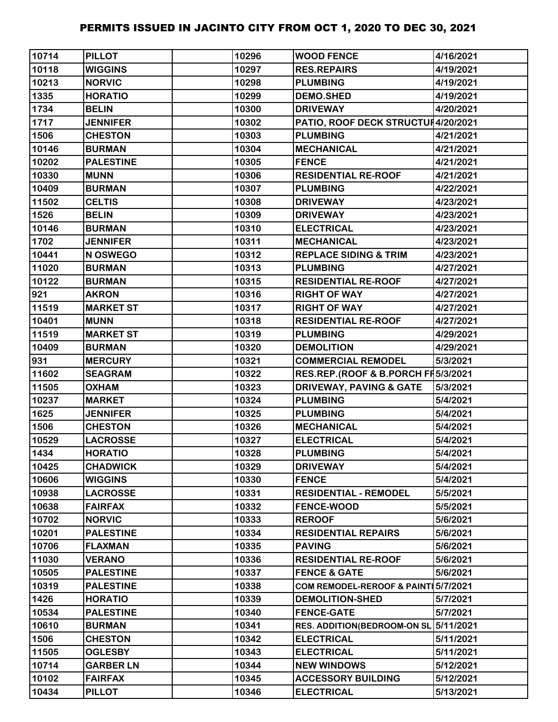| 10714 | <b>PILLOT</b>    | 10296 | <b>WOOD FENCE</b>                   | 4/16/2021 |
|-------|------------------|-------|-------------------------------------|-----------|
| 10118 | <b>WIGGINS</b>   | 10297 | <b>RES.REPAIRS</b>                  | 4/19/2021 |
| 10213 | <b>NORVIC</b>    | 10298 | <b>PLUMBING</b>                     | 4/19/2021 |
| 1335  | <b>HORATIO</b>   | 10299 | <b>DEMO.SHED</b>                    | 4/19/2021 |
| 1734  | <b>BELIN</b>     | 10300 | <b>DRIVEWAY</b>                     | 4/20/2021 |
| 1717  | <b>JENNIFER</b>  | 10302 | PATIO, ROOF DECK STRUCTUH4/20/2021  |           |
| 1506  | <b>CHESTON</b>   | 10303 | <b>PLUMBING</b>                     | 4/21/2021 |
| 10146 | <b>BURMAN</b>    | 10304 | <b>MECHANICAL</b>                   | 4/21/2021 |
| 10202 | <b>PALESTINE</b> | 10305 | <b>FENCE</b>                        | 4/21/2021 |
| 10330 | <b>MUNN</b>      | 10306 | <b>RESIDENTIAL RE-ROOF</b>          | 4/21/2021 |
| 10409 | <b>BURMAN</b>    | 10307 | <b>PLUMBING</b>                     | 4/22/2021 |
| 11502 | <b>CELTIS</b>    | 10308 | <b>DRIVEWAY</b>                     | 4/23/2021 |
| 1526  | <b>BELIN</b>     | 10309 | <b>DRIVEWAY</b>                     | 4/23/2021 |
| 10146 | <b>BURMAN</b>    | 10310 | <b>ELECTRICAL</b>                   | 4/23/2021 |
| 1702  | <b>JENNIFER</b>  | 10311 | <b>MECHANICAL</b>                   | 4/23/2021 |
| 10441 | N OSWEGO         | 10312 | <b>REPLACE SIDING &amp; TRIM</b>    | 4/23/2021 |
| 11020 | <b>BURMAN</b>    | 10313 | <b>PLUMBING</b>                     | 4/27/2021 |
| 10122 | <b>BURMAN</b>    | 10315 | <b>RESIDENTIAL RE-ROOF</b>          | 4/27/2021 |
| 921   | <b>AKRON</b>     | 10316 | <b>RIGHT OF WAY</b>                 | 4/27/2021 |
| 11519 | <b>MARKET ST</b> | 10317 | <b>RIGHT OF WAY</b>                 | 4/27/2021 |
| 10401 | <b>MUNN</b>      | 10318 | <b>RESIDENTIAL RE-ROOF</b>          | 4/27/2021 |
| 11519 | <b>MARKET ST</b> | 10319 | <b>PLUMBING</b>                     | 4/29/2021 |
| 10409 | <b>BURMAN</b>    | 10320 | <b>DEMOLITION</b>                   | 4/29/2021 |
| 931   | <b>MERCURY</b>   | 10321 | <b>COMMERCIAL REMODEL</b>           | 5/3/2021  |
| 11602 | <b>SEAGRAM</b>   | 10322 | RES.REP.(ROOF & B.PORCH FI5/3/2021  |           |
| 11505 | <b>OXHAM</b>     | 10323 | <b>DRIVEWAY, PAVING &amp; GATE</b>  | 5/3/2021  |
| 10237 | <b>MARKET</b>    | 10324 | <b>PLUMBING</b>                     | 5/4/2021  |
| 1625  | <b>JENNIFER</b>  | 10325 | <b>PLUMBING</b>                     | 5/4/2021  |
| 1506  | <b>CHESTON</b>   | 10326 | <b>MECHANICAL</b>                   | 5/4/2021  |
| 10529 | <b>LACROSSE</b>  | 10327 | <b>ELECTRICAL</b>                   | 5/4/2021  |
| 1434  | <b>HORATIO</b>   | 10328 | <b>PLUMBING</b>                     | 5/4/2021  |
| 10425 | <b>CHADWICK</b>  | 10329 | <b>DRIVEWAY</b>                     | 5/4/2021  |
| 10606 | <b>WIGGINS</b>   | 10330 | <b>FENCE</b>                        | 5/4/2021  |
| 10938 | <b>LACROSSE</b>  | 10331 | <b>RESIDENTIAL - REMODEL</b>        | 5/5/2021  |
| 10638 | <b>FAIRFAX</b>   | 10332 | <b>FENCE-WOOD</b>                   | 5/5/2021  |
| 10702 | <b>NORVIC</b>    | 10333 | <b>REROOF</b>                       | 5/6/2021  |
| 10201 | <b>PALESTINE</b> | 10334 | <b>RESIDENTIAL REPAIRS</b>          | 5/6/2021  |
| 10706 | <b>FLAXMAN</b>   | 10335 | <b>PAVING</b>                       | 5/6/2021  |
| 11030 | <b>VERANO</b>    | 10336 | <b>RESIDENTIAL RE-ROOF</b>          | 5/6/2021  |
| 10505 | <b>PALESTINE</b> | 10337 | <b>FENCE &amp; GATE</b>             | 5/6/2021  |
| 10319 | <b>PALESTINE</b> | 10338 | COM REMODEL-REROOF & PAINT 5/7/2021 |           |
| 1426  | <b>HORATIO</b>   | 10339 | <b>DEMOLITION-SHED</b>              | 5/7/2021  |
| 10534 | <b>PALESTINE</b> | 10340 | <b>FENCE-GATE</b>                   | 5/7/2021  |
| 10610 | <b>BURMAN</b>    | 10341 | <b>RES. ADDITION(BEDROOM-ON SL</b>  | 5/11/2021 |
| 1506  | <b>CHESTON</b>   | 10342 | <b>ELECTRICAL</b>                   | 5/11/2021 |
| 11505 | <b>OGLESBY</b>   | 10343 | <b>ELECTRICAL</b>                   | 5/11/2021 |
| 10714 | <b>GARBER LN</b> | 10344 | <b>NEW WINDOWS</b>                  | 5/12/2021 |
| 10102 | <b>FAIRFAX</b>   | 10345 | <b>ACCESSORY BUILDING</b>           | 5/12/2021 |
| 10434 | <b>PILLOT</b>    | 10346 | <b>ELECTRICAL</b>                   | 5/13/2021 |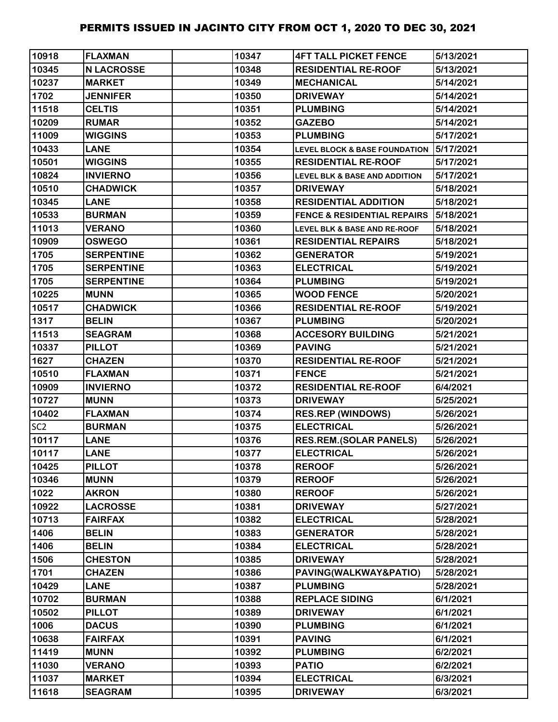| 10918           | <b>FLAXMAN</b>    | 10347 | <b>4FT TALL PICKET FENCE</b>             | 5/13/2021 |
|-----------------|-------------------|-------|------------------------------------------|-----------|
| 10345           | <b>N LACROSSE</b> | 10348 | <b>RESIDENTIAL RE-ROOF</b>               | 5/13/2021 |
| 10237           | <b>MARKET</b>     | 10349 | <b>MECHANICAL</b>                        | 5/14/2021 |
| 1702            | <b>JENNIFER</b>   | 10350 | <b>DRIVEWAY</b>                          | 5/14/2021 |
| 11518           | <b>CELTIS</b>     | 10351 | <b>PLUMBING</b>                          | 5/14/2021 |
| 10209           | <b>RUMAR</b>      | 10352 | <b>GAZEBO</b>                            | 5/14/2021 |
| 11009           | <b>WIGGINS</b>    | 10353 | <b>PLUMBING</b>                          | 5/17/2021 |
| 10433           | <b>LANE</b>       | 10354 | <b>LEVEL BLOCK &amp; BASE FOUNDATION</b> | 5/17/2021 |
| 10501           | <b>WIGGINS</b>    | 10355 | <b>RESIDENTIAL RE-ROOF</b>               | 5/17/2021 |
| 10824           | <b>INVIERNO</b>   | 10356 | <b>LEVEL BLK &amp; BASE AND ADDITION</b> | 5/17/2021 |
| 10510           | <b>CHADWICK</b>   | 10357 | <b>DRIVEWAY</b>                          | 5/18/2021 |
| 10345           | <b>LANE</b>       | 10358 | <b>RESIDENTIAL ADDITION</b>              | 5/18/2021 |
| 10533           | <b>BURMAN</b>     | 10359 | <b>FENCE &amp; RESIDENTIAL REPAIRS</b>   | 5/18/2021 |
| 11013           | <b>VERANO</b>     | 10360 | LEVEL BLK & BASE AND RE-ROOF             | 5/18/2021 |
| 10909           | <b>OSWEGO</b>     | 10361 | <b>RESIDENTIAL REPAIRS</b>               | 5/18/2021 |
| 1705            | <b>SERPENTINE</b> | 10362 | <b>GENERATOR</b>                         | 5/19/2021 |
| 1705            | <b>SERPENTINE</b> | 10363 | <b>ELECTRICAL</b>                        | 5/19/2021 |
| 1705            | <b>SERPENTINE</b> | 10364 | <b>PLUMBING</b>                          | 5/19/2021 |
| 10225           | <b>MUNN</b>       | 10365 | <b>WOOD FENCE</b>                        | 5/20/2021 |
| 10517           | <b>CHADWICK</b>   | 10366 | <b>RESIDENTIAL RE-ROOF</b>               | 5/19/2021 |
| 1317            | <b>BELIN</b>      | 10367 | <b>PLUMBING</b>                          | 5/20/2021 |
| 11513           | <b>SEAGRAM</b>    | 10368 | <b>ACCESORY BUILDING</b>                 | 5/21/2021 |
| 10337           | <b>PILLOT</b>     | 10369 | <b>PAVING</b>                            | 5/21/2021 |
| 1627            | <b>CHAZEN</b>     | 10370 | <b>RESIDENTIAL RE-ROOF</b>               | 5/21/2021 |
| 10510           | <b>FLAXMAN</b>    | 10371 | <b>FENCE</b>                             | 5/21/2021 |
| 10909           | <b>INVIERNO</b>   | 10372 | <b>RESIDENTIAL RE-ROOF</b>               | 6/4/2021  |
| 10727           | <b>MUNN</b>       | 10373 | <b>DRIVEWAY</b>                          | 5/25/2021 |
| 10402           | <b>FLAXMAN</b>    | 10374 | <b>RES.REP (WINDOWS)</b>                 | 5/26/2021 |
| SC <sub>2</sub> | <b>BURMAN</b>     | 10375 | <b>ELECTRICAL</b>                        | 5/26/2021 |
| 10117           | <b>LANE</b>       | 10376 | <b>RES.REM.(SOLAR PANELS)</b>            | 5/26/2021 |
| 10117           | <b>LANE</b>       | 10377 | <b>ELECTRICAL</b>                        | 5/26/2021 |
| 10425           | <b>PILLOT</b>     | 10378 | <b>REROOF</b>                            | 5/26/2021 |
| 10346           | <b>MUNN</b>       | 10379 | <b>REROOF</b>                            | 5/26/2021 |
| 1022            | <b>AKRON</b>      | 10380 | <b>REROOF</b>                            | 5/26/2021 |
| 10922           | <b>LACROSSE</b>   | 10381 | <b>DRIVEWAY</b>                          | 5/27/2021 |
| 10713           | <b>FAIRFAX</b>    | 10382 | <b>ELECTRICAL</b>                        | 5/28/2021 |
| 1406            | <b>BELIN</b>      | 10383 | <b>GENERATOR</b>                         | 5/28/2021 |
| 1406            | <b>BELIN</b>      | 10384 | <b>ELECTRICAL</b>                        | 5/28/2021 |
| 1506            | <b>CHESTON</b>    | 10385 | <b>DRIVEWAY</b>                          | 5/28/2021 |
| 1701            | <b>CHAZEN</b>     | 10386 | PAVING(WALKWAY&PATIO)                    | 5/28/2021 |
| 10429           | <b>LANE</b>       | 10387 | <b>PLUMBING</b>                          | 5/28/2021 |
| 10702           | <b>BURMAN</b>     | 10388 | <b>REPLACE SIDING</b>                    | 6/1/2021  |
| 10502           | <b>PILLOT</b>     | 10389 | <b>DRIVEWAY</b>                          | 6/1/2021  |
| 1006            | <b>DACUS</b>      | 10390 | <b>PLUMBING</b>                          | 6/1/2021  |
| 10638           | <b>FAIRFAX</b>    | 10391 | <b>PAVING</b>                            | 6/1/2021  |
| 11419           | <b>MUNN</b>       | 10392 | <b>PLUMBING</b>                          | 6/2/2021  |
| 11030           | <b>VERANO</b>     | 10393 | <b>PATIO</b>                             | 6/2/2021  |
| 11037           | <b>MARKET</b>     | 10394 | <b>ELECTRICAL</b>                        | 6/3/2021  |
| 11618           | <b>SEAGRAM</b>    | 10395 | <b>DRIVEWAY</b>                          | 6/3/2021  |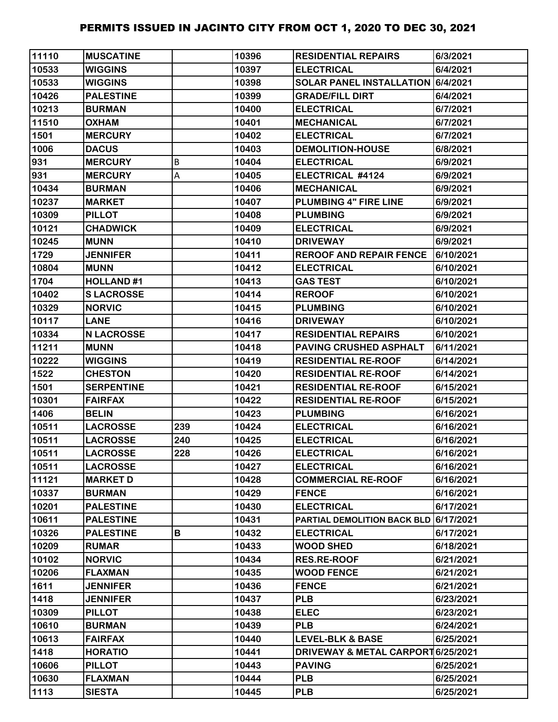| 11110 | <b>MUSCATINE</b>  |     | 10396 | <b>RESIDENTIAL REPAIRS</b>            | 6/3/2021  |
|-------|-------------------|-----|-------|---------------------------------------|-----------|
| 10533 | <b>WIGGINS</b>    |     | 10397 | <b>ELECTRICAL</b>                     | 6/4/2021  |
| 10533 | <b>WIGGINS</b>    |     | 10398 | SOLAR PANEL INSTALLATION 6/4/2021     |           |
| 10426 | <b>PALESTINE</b>  |     | 10399 | <b>GRADE/FILL DIRT</b>                | 6/4/2021  |
| 10213 | <b>BURMAN</b>     |     | 10400 | <b>ELECTRICAL</b>                     | 6/7/2021  |
| 11510 | <b>OXHAM</b>      |     | 10401 | <b>MECHANICAL</b>                     | 6/7/2021  |
| 1501  | <b>MERCURY</b>    |     | 10402 | <b>ELECTRICAL</b>                     | 6/7/2021  |
| 1006  | <b>DACUS</b>      |     | 10403 | <b>DEMOLITION-HOUSE</b>               | 6/8/2021  |
| 931   | <b>MERCURY</b>    | В   | 10404 | <b>ELECTRICAL</b>                     | 6/9/2021  |
| 931   | <b>MERCURY</b>    | А   | 10405 | ELECTRICAL #4124                      | 6/9/2021  |
| 10434 | <b>BURMAN</b>     |     | 10406 | <b>MECHANICAL</b>                     | 6/9/2021  |
| 10237 | <b>MARKET</b>     |     | 10407 | <b>PLUMBING 4" FIRE LINE</b>          | 6/9/2021  |
| 10309 | <b>PILLOT</b>     |     | 10408 | <b>PLUMBING</b>                       | 6/9/2021  |
| 10121 | <b>CHADWICK</b>   |     | 10409 | <b>ELECTRICAL</b>                     | 6/9/2021  |
| 10245 | <b>MUNN</b>       |     | 10410 | <b>DRIVEWAY</b>                       | 6/9/2021  |
| 1729  | <b>JENNIFER</b>   |     | 10411 | <b>REROOF AND REPAIR FENCE</b>        | 6/10/2021 |
| 10804 | <b>MUNN</b>       |     | 10412 | <b>ELECTRICAL</b>                     | 6/10/2021 |
| 1704  | <b>HOLLAND#1</b>  |     | 10413 | <b>GAS TEST</b>                       | 6/10/2021 |
| 10402 | <b>SLACROSSE</b>  |     | 10414 | <b>REROOF</b>                         | 6/10/2021 |
| 10329 | <b>NORVIC</b>     |     | 10415 | <b>PLUMBING</b>                       | 6/10/2021 |
| 10117 | <b>LANE</b>       |     | 10416 | <b>DRIVEWAY</b>                       | 6/10/2021 |
| 10334 | <b>N LACROSSE</b> |     | 10417 | <b>RESIDENTIAL REPAIRS</b>            | 6/10/2021 |
| 11211 | <b>MUNN</b>       |     | 10418 | PAVING CRUSHED ASPHALT                | 6/11/2021 |
| 10222 | <b>WIGGINS</b>    |     | 10419 | <b>RESIDENTIAL RE-ROOF</b>            | 6/14/2021 |
| 1522  | <b>CHESTON</b>    |     | 10420 | <b>RESIDENTIAL RE-ROOF</b>            | 6/14/2021 |
| 1501  | <b>SERPENTINE</b> |     | 10421 | <b>RESIDENTIAL RE-ROOF</b>            | 6/15/2021 |
| 10301 | <b>FAIRFAX</b>    |     | 10422 | <b>RESIDENTIAL RE-ROOF</b>            | 6/15/2021 |
| 1406  | <b>BELIN</b>      |     | 10423 | <b>PLUMBING</b>                       | 6/16/2021 |
| 10511 | <b>LACROSSE</b>   | 239 | 10424 | <b>ELECTRICAL</b>                     | 6/16/2021 |
| 10511 | <b>LACROSSE</b>   | 240 | 10425 | <b>ELECTRICAL</b>                     | 6/16/2021 |
| 10511 | <b>LACROSSE</b>   | 228 | 10426 | <b>ELECTRICAL</b>                     | 6/16/2021 |
| 10511 | <b>LACROSSE</b>   |     | 10427 | <b>ELECTRICAL</b>                     | 6/16/2021 |
| 11121 | <b>MARKET D</b>   |     | 10428 | <b>COMMERCIAL RE-ROOF</b>             | 6/16/2021 |
| 10337 | <b>BURMAN</b>     |     | 10429 | <b>FENCE</b>                          | 6/16/2021 |
| 10201 | <b>PALESTINE</b>  |     | 10430 | <b>ELECTRICAL</b>                     | 6/17/2021 |
| 10611 | <b>PALESTINE</b>  |     | 10431 | PARTIAL DEMOLITION BACK BLD 6/17/2021 |           |
| 10326 | <b>PALESTINE</b>  | В   | 10432 | <b>ELECTRICAL</b>                     | 6/17/2021 |
| 10209 | <b>RUMAR</b>      |     | 10433 | <b>WOOD SHED</b>                      | 6/18/2021 |
| 10102 | <b>NORVIC</b>     |     | 10434 | <b>RES.RE-ROOF</b>                    | 6/21/2021 |
| 10206 | <b>FLAXMAN</b>    |     | 10435 | <b>WOOD FENCE</b>                     | 6/21/2021 |
| 1611  | <b>JENNIFER</b>   |     | 10436 | <b>FENCE</b>                          | 6/21/2021 |
| 1418  | <b>JENNIFER</b>   |     | 10437 | <b>PLB</b>                            | 6/23/2021 |
| 10309 | <b>PILLOT</b>     |     | 10438 | <b>ELEC</b>                           | 6/23/2021 |
| 10610 | <b>BURMAN</b>     |     | 10439 | <b>PLB</b>                            | 6/24/2021 |
| 10613 | <b>FAIRFAX</b>    |     | 10440 | <b>LEVEL-BLK &amp; BASE</b>           | 6/25/2021 |
| 1418  | <b>HORATIO</b>    |     | 10441 | DRIVEWAY & METAL CARPORT 6/25/2021    |           |
| 10606 | <b>PILLOT</b>     |     | 10443 | <b>PAVING</b>                         | 6/25/2021 |
| 10630 | <b>FLAXMAN</b>    |     | 10444 | <b>PLB</b>                            | 6/25/2021 |
| 1113  | <b>SIESTA</b>     |     | 10445 | <b>PLB</b>                            | 6/25/2021 |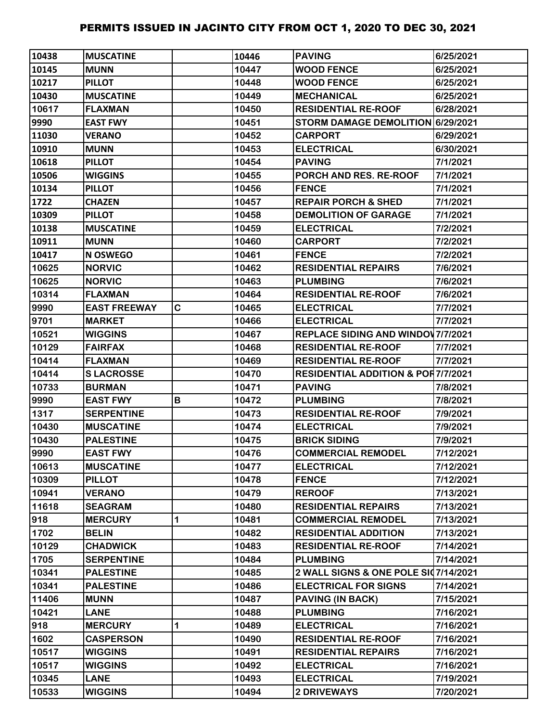| 10438 | <b>MUSCATINE</b>    |   | 10446 | <b>PAVING</b>                                 | 6/25/2021 |
|-------|---------------------|---|-------|-----------------------------------------------|-----------|
| 10145 | <b>MUNN</b>         |   | 10447 | <b>WOOD FENCE</b>                             | 6/25/2021 |
| 10217 | <b>PILLOT</b>       |   | 10448 | <b>WOOD FENCE</b>                             | 6/25/2021 |
| 10430 | <b>MUSCATINE</b>    |   | 10449 | <b>MECHANICAL</b>                             | 6/25/2021 |
| 10617 | <b>FLAXMAN</b>      |   | 10450 | <b>RESIDENTIAL RE-ROOF</b>                    | 6/28/2021 |
| 9990  | <b>EAST FWY</b>     |   | 10451 | STORM DAMAGE DEMOLITION 6/29/2021             |           |
| 11030 | <b>VERANO</b>       |   | 10452 | <b>CARPORT</b>                                | 6/29/2021 |
| 10910 | <b>MUNN</b>         |   | 10453 | <b>ELECTRICAL</b>                             | 6/30/2021 |
| 10618 | <b>PILLOT</b>       |   | 10454 | <b>PAVING</b>                                 | 7/1/2021  |
| 10506 | <b>WIGGINS</b>      |   | 10455 | PORCH AND RES. RE-ROOF                        | 7/1/2021  |
| 10134 | <b>PILLOT</b>       |   | 10456 | <b>FENCE</b>                                  | 7/1/2021  |
| 1722  | <b>CHAZEN</b>       |   | 10457 | <b>REPAIR PORCH &amp; SHED</b>                | 7/1/2021  |
| 10309 | <b>PILLOT</b>       |   | 10458 | <b>DEMOLITION OF GARAGE</b>                   | 7/1/2021  |
| 10138 | <b>MUSCATINE</b>    |   | 10459 | <b>ELECTRICAL</b>                             | 7/2/2021  |
| 10911 | <b>MUNN</b>         |   | 10460 | <b>CARPORT</b>                                | 7/2/2021  |
| 10417 | <b>N OSWEGO</b>     |   | 10461 | <b>FENCE</b>                                  | 7/2/2021  |
| 10625 | <b>NORVIC</b>       |   | 10462 | <b>RESIDENTIAL REPAIRS</b>                    | 7/6/2021  |
| 10625 | <b>NORVIC</b>       |   | 10463 | <b>PLUMBING</b>                               | 7/6/2021  |
| 10314 | <b>FLAXMAN</b>      |   | 10464 | <b>RESIDENTIAL RE-ROOF</b>                    | 7/6/2021  |
| 9990  | <b>EAST FREEWAY</b> | C | 10465 | <b>ELECTRICAL</b>                             | 7/7/2021  |
| 9701  | <b>MARKET</b>       |   | 10466 | <b>ELECTRICAL</b>                             | 7/7/2021  |
| 10521 | <b>WIGGINS</b>      |   | 10467 | <b>REPLACE SIDING AND WINDOV 7/7/2021</b>     |           |
| 10129 | <b>FAIRFAX</b>      |   | 10468 | <b>RESIDENTIAL RE-ROOF</b>                    | 7/7/2021  |
| 10414 | <b>FLAXMAN</b>      |   | 10469 | <b>RESIDENTIAL RE-ROOF</b>                    | 7/7/2021  |
| 10414 | <b>SLACROSSE</b>    |   | 10470 | <b>RESIDENTIAL ADDITION &amp; POR7/7/2021</b> |           |
| 10733 | <b>BURMAN</b>       |   | 10471 | <b>PAVING</b>                                 | 7/8/2021  |
| 9990  | <b>EAST FWY</b>     | В | 10472 | <b>PLUMBING</b>                               | 7/8/2021  |
| 1317  | <b>SERPENTINE</b>   |   | 10473 | <b>RESIDENTIAL RE-ROOF</b>                    | 7/9/2021  |
| 10430 | <b>MUSCATINE</b>    |   | 10474 | <b>ELECTRICAL</b>                             | 7/9/2021  |
| 10430 | <b>PALESTINE</b>    |   | 10475 | <b>BRICK SIDING</b>                           | 7/9/2021  |
| 9990  | <b>EAST FWY</b>     |   | 10476 | <b>COMMERCIAL REMODEL</b>                     | 7/12/2021 |
| 10613 | <b>MUSCATINE</b>    |   | 10477 | <b>ELECTRICAL</b>                             | 7/12/2021 |
| 10309 | <b>PILLOT</b>       |   | 10478 | <b>FENCE</b>                                  | 7/12/2021 |
| 10941 | <b>VERANO</b>       |   | 10479 | <b>REROOF</b>                                 | 7/13/2021 |
| 11618 | <b>SEAGRAM</b>      |   | 10480 | <b>RESIDENTIAL REPAIRS</b>                    | 7/13/2021 |
| 918   | <b>MERCURY</b>      | 1 | 10481 | <b>COMMERCIAL REMODEL</b>                     | 7/13/2021 |
| 1702  | <b>BELIN</b>        |   | 10482 | <b>RESIDENTIAL ADDITION</b>                   | 7/13/2021 |
| 10129 | <b>CHADWICK</b>     |   | 10483 | <b>RESIDENTIAL RE-ROOF</b>                    | 7/14/2021 |
| 1705  | <b>SERPENTINE</b>   |   | 10484 | <b>PLUMBING</b>                               | 7/14/2021 |
| 10341 | <b>PALESTINE</b>    |   | 10485 | 2 WALL SIGNS & ONE POLE SI07/14/2021          |           |
| 10341 | <b>PALESTINE</b>    |   | 10486 | <b>ELECTRICAL FOR SIGNS</b>                   | 7/14/2021 |
| 11406 | <b>MUNN</b>         |   | 10487 | <b>PAVING (IN BACK)</b>                       | 7/15/2021 |
| 10421 | <b>LANE</b>         |   | 10488 | <b>PLUMBING</b>                               | 7/16/2021 |
| 918   | <b>MERCURY</b>      | 1 | 10489 | <b>ELECTRICAL</b>                             | 7/16/2021 |
| 1602  | <b>CASPERSON</b>    |   | 10490 | <b>RESIDENTIAL RE-ROOF</b>                    | 7/16/2021 |
| 10517 | <b>WIGGINS</b>      |   | 10491 | <b>RESIDENTIAL REPAIRS</b>                    | 7/16/2021 |
| 10517 | <b>WIGGINS</b>      |   | 10492 | <b>ELECTRICAL</b>                             | 7/16/2021 |
| 10345 | <b>LANE</b>         |   | 10493 | <b>ELECTRICAL</b>                             | 7/19/2021 |
| 10533 | <b>WIGGINS</b>      |   | 10494 | <b>2 DRIVEWAYS</b>                            | 7/20/2021 |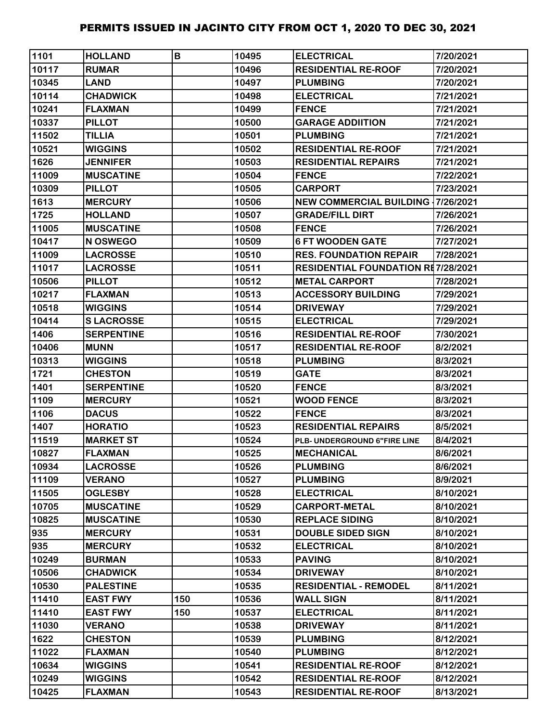| 1101  | <b>HOLLAND</b>    | B   | 10495 | <b>ELECTRICAL</b>                         | 7/20/2021 |
|-------|-------------------|-----|-------|-------------------------------------------|-----------|
| 10117 | <b>RUMAR</b>      |     | 10496 | <b>RESIDENTIAL RE-ROOF</b>                | 7/20/2021 |
| 10345 | <b>LAND</b>       |     | 10497 | <b>PLUMBING</b>                           | 7/20/2021 |
| 10114 | <b>CHADWICK</b>   |     | 10498 | <b>ELECTRICAL</b>                         | 7/21/2021 |
| 10241 | <b>FLAXMAN</b>    |     | 10499 | <b>FENCE</b>                              | 7/21/2021 |
| 10337 | <b>PILLOT</b>     |     | 10500 | <b>GARAGE ADDIITION</b>                   | 7/21/2021 |
| 11502 | <b>TILLIA</b>     |     | 10501 | <b>PLUMBING</b>                           | 7/21/2021 |
| 10521 | <b>WIGGINS</b>    |     | 10502 | <b>RESIDENTIAL RE-ROOF</b>                | 7/21/2021 |
| 1626  | <b>JENNIFER</b>   |     | 10503 | <b>RESIDENTIAL REPAIRS</b>                | 7/21/2021 |
| 11009 | <b>MUSCATINE</b>  |     | 10504 | <b>FENCE</b>                              | 7/22/2021 |
| 10309 | <b>PILLOT</b>     |     | 10505 | <b>CARPORT</b>                            | 7/23/2021 |
| 1613  | <b>MERCURY</b>    |     | 10506 | <b>NEW COMMERCIAL BUILDING 17/26/2021</b> |           |
| 1725  | <b>HOLLAND</b>    |     | 10507 | <b>GRADE/FILL DIRT</b>                    | 7/26/2021 |
| 11005 | <b>MUSCATINE</b>  |     | 10508 | <b>FENCE</b>                              | 7/26/2021 |
| 10417 | N OSWEGO          |     | 10509 | <b>6 FT WOODEN GATE</b>                   | 7/27/2021 |
| 11009 | <b>LACROSSE</b>   |     | 10510 | <b>RES. FOUNDATION REPAIR</b>             | 7/28/2021 |
| 11017 | <b>LACROSSE</b>   |     | 10511 | <b>RESIDENTIAL FOUNDATION RE7/28/2021</b> |           |
| 10506 | <b>PILLOT</b>     |     | 10512 | <b>METAL CARPORT</b>                      | 7/28/2021 |
| 10217 | <b>FLAXMAN</b>    |     | 10513 | <b>ACCESSORY BUILDING</b>                 | 7/29/2021 |
| 10518 | <b>WIGGINS</b>    |     | 10514 | <b>DRIVEWAY</b>                           | 7/29/2021 |
| 10414 | <b>SLACROSSE</b>  |     | 10515 | <b>ELECTRICAL</b>                         | 7/29/2021 |
| 1406  | <b>SERPENTINE</b> |     | 10516 | <b>RESIDENTIAL RE-ROOF</b>                | 7/30/2021 |
| 10406 | <b>MUNN</b>       |     | 10517 | <b>RESIDENTIAL RE-ROOF</b>                | 8/2/2021  |
| 10313 | <b>WIGGINS</b>    |     | 10518 | <b>PLUMBING</b>                           | 8/3/2021  |
| 1721  | <b>CHESTON</b>    |     | 10519 | <b>GATE</b>                               | 8/3/2021  |
| 1401  | <b>SERPENTINE</b> |     | 10520 | <b>FENCE</b>                              | 8/3/2021  |
| 1109  | <b>MERCURY</b>    |     | 10521 | <b>WOOD FENCE</b>                         | 8/3/2021  |
| 1106  | <b>DACUS</b>      |     | 10522 | <b>FENCE</b>                              | 8/3/2021  |
| 1407  | <b>HORATIO</b>    |     | 10523 | <b>RESIDENTIAL REPAIRS</b>                | 8/5/2021  |
| 11519 | <b>MARKET ST</b>  |     | 10524 | PLB- UNDERGROUND 6"FIRE LINE              | 8/4/2021  |
| 10827 | <b>FLAXMAN</b>    |     | 10525 | <b>IMECHANICAL</b>                        | 8/6/2021  |
| 10934 | <b>LACROSSE</b>   |     | 10526 | <b>PLUMBING</b>                           | 8/6/2021  |
| 11109 | <b>VERANO</b>     |     | 10527 | <b>PLUMBING</b>                           | 8/9/2021  |
| 11505 | <b>OGLESBY</b>    |     | 10528 | <b>ELECTRICAL</b>                         | 8/10/2021 |
| 10705 | <b>MUSCATINE</b>  |     | 10529 | <b>CARPORT-METAL</b>                      | 8/10/2021 |
| 10825 | <b>MUSCATINE</b>  |     | 10530 | <b>REPLACE SIDING</b>                     | 8/10/2021 |
| 935   | <b>MERCURY</b>    |     | 10531 | <b>DOUBLE SIDED SIGN</b>                  | 8/10/2021 |
| 935   | <b>MERCURY</b>    |     | 10532 | <b>ELECTRICAL</b>                         | 8/10/2021 |
| 10249 | <b>BURMAN</b>     |     | 10533 | <b>PAVING</b>                             | 8/10/2021 |
| 10506 | <b>CHADWICK</b>   |     | 10534 | <b>DRIVEWAY</b>                           | 8/10/2021 |
| 10530 | <b>PALESTINE</b>  |     | 10535 | <b>RESIDENTIAL - REMODEL</b>              | 8/11/2021 |
| 11410 | <b>EAST FWY</b>   | 150 | 10536 | <b>WALL SIGN</b>                          | 8/11/2021 |
| 11410 | <b>EAST FWY</b>   | 150 | 10537 | <b>ELECTRICAL</b>                         | 8/11/2021 |
| 11030 | <b>VERANO</b>     |     | 10538 | <b>DRIVEWAY</b>                           | 8/11/2021 |
| 1622  | <b>CHESTON</b>    |     | 10539 | <b>PLUMBING</b>                           | 8/12/2021 |
| 11022 | <b>FLAXMAN</b>    |     | 10540 | <b>PLUMBING</b>                           | 8/12/2021 |
| 10634 | <b>WIGGINS</b>    |     | 10541 | <b>RESIDENTIAL RE-ROOF</b>                | 8/12/2021 |
| 10249 | <b>WIGGINS</b>    |     | 10542 | <b>RESIDENTIAL RE-ROOF</b>                | 8/12/2021 |
| 10425 | <b>FLAXMAN</b>    |     | 10543 | <b>RESIDENTIAL RE-ROOF</b>                | 8/13/2021 |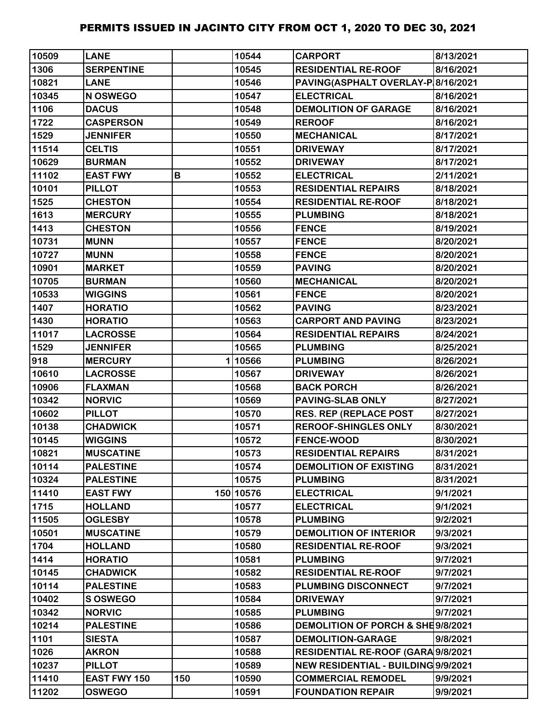| 10509 | <b>LANE</b>         |     | 10544     | <b>CARPORT</b>                      | 8/13/2021 |
|-------|---------------------|-----|-----------|-------------------------------------|-----------|
| 1306  | <b>SERPENTINE</b>   |     | 10545     | <b>RESIDENTIAL RE-ROOF</b>          | 8/16/2021 |
| 10821 | <b>LANE</b>         |     | 10546     | PAVING(ASPHALT OVERLAY-P 8/16/2021  |           |
| 10345 | N OSWEGO            |     | 10547     | <b>ELECTRICAL</b>                   | 8/16/2021 |
| 1106  | <b>DACUS</b>        |     | 10548     | <b>DEMOLITION OF GARAGE</b>         | 8/16/2021 |
| 1722  | <b>CASPERSON</b>    |     | 10549     | <b>REROOF</b>                       | 8/16/2021 |
| 1529  | <b>JENNIFER</b>     |     | 10550     | <b>MECHANICAL</b>                   | 8/17/2021 |
| 11514 | <b>CELTIS</b>       |     | 10551     | <b>DRIVEWAY</b>                     | 8/17/2021 |
| 10629 | <b>BURMAN</b>       |     | 10552     | <b>DRIVEWAY</b>                     | 8/17/2021 |
| 11102 | <b>EAST FWY</b>     | В   | 10552     | <b>ELECTRICAL</b>                   | 2/11/2021 |
| 10101 | <b>PILLOT</b>       |     | 10553     | <b>RESIDENTIAL REPAIRS</b>          | 8/18/2021 |
| 1525  | <b>CHESTON</b>      |     | 10554     | <b>RESIDENTIAL RE-ROOF</b>          | 8/18/2021 |
| 1613  | <b>MERCURY</b>      |     | 10555     | <b>PLUMBING</b>                     | 8/18/2021 |
| 1413  | <b>CHESTON</b>      |     | 10556     | <b>FENCE</b>                        | 8/19/2021 |
| 10731 | <b>MUNN</b>         |     | 10557     | <b>FENCE</b>                        | 8/20/2021 |
| 10727 | <b>MUNN</b>         |     | 10558     | <b>FENCE</b>                        | 8/20/2021 |
| 10901 | <b>MARKET</b>       |     | 10559     | <b>PAVING</b>                       | 8/20/2021 |
| 10705 | <b>BURMAN</b>       |     | 10560     | <b>MECHANICAL</b>                   | 8/20/2021 |
| 10533 | <b>WIGGINS</b>      |     | 10561     | <b>FENCE</b>                        | 8/20/2021 |
| 1407  | <b>HORATIO</b>      |     | 10562     | <b>PAVING</b>                       | 8/23/2021 |
| 1430  | <b>HORATIO</b>      |     | 10563     | <b>CARPORT AND PAVING</b>           | 8/23/2021 |
| 11017 | <b>LACROSSE</b>     |     | 10564     | <b>RESIDENTIAL REPAIRS</b>          | 8/24/2021 |
| 1529  | <b>JENNIFER</b>     |     | 10565     | <b>PLUMBING</b>                     | 8/25/2021 |
| 918   | <b>MERCURY</b>      |     | 110566    | <b>PLUMBING</b>                     | 8/26/2021 |
| 10610 | <b>LACROSSE</b>     |     | 10567     | <b>DRIVEWAY</b>                     | 8/26/2021 |
| 10906 | <b>FLAXMAN</b>      |     | 10568     | <b>BACK PORCH</b>                   | 8/26/2021 |
| 10342 | <b>NORVIC</b>       |     | 10569     | <b>PAVING-SLAB ONLY</b>             | 8/27/2021 |
| 10602 | <b>PILLOT</b>       |     | 10570     | <b>RES. REP (REPLACE POST</b>       | 8/27/2021 |
| 10138 | <b>CHADWICK</b>     |     | 10571     | <b>REROOF-SHINGLES ONLY</b>         | 8/30/2021 |
| 10145 | <b>WIGGINS</b>      |     | 10572     | <b>FENCE-WOOD</b>                   | 8/30/2021 |
| 10821 | <b>MUSCATINE</b>    |     | 10573     | <b>RESIDENTIAL REPAIRS</b>          | 8/31/2021 |
| 10114 | <b>PALESTINE</b>    |     | 10574     | <b>DEMOLITION OF EXISTING</b>       | 8/31/2021 |
| 10324 | <b>PALESTINE</b>    |     | 10575     | <b>PLUMBING</b>                     | 8/31/2021 |
| 11410 | <b>EAST FWY</b>     |     | 150 10576 | <b>ELECTRICAL</b>                   | 9/1/2021  |
| 1715  | <b>HOLLAND</b>      |     | 10577     | <b>ELECTRICAL</b>                   | 9/1/2021  |
| 11505 | <b>OGLESBY</b>      |     | 10578     | <b>PLUMBING</b>                     | 9/2/2021  |
| 10501 | <b>MUSCATINE</b>    |     | 10579     | <b>DEMOLITION OF INTERIOR</b>       | 9/3/2021  |
| 1704  | <b>HOLLAND</b>      |     | 10580     | <b>RESIDENTIAL RE-ROOF</b>          | 9/3/2021  |
| 1414  | <b>HORATIO</b>      |     | 10581     | <b>PLUMBING</b>                     | 9/7/2021  |
| 10145 | <b>CHADWICK</b>     |     | 10582     | <b>RESIDENTIAL RE-ROOF</b>          | 9/7/2021  |
| 10114 | <b>PALESTINE</b>    |     | 10583     | PLUMBING DISCONNECT                 | 9/7/2021  |
| 10402 | <b>S OSWEGO</b>     |     | 10584     | <b>DRIVEWAY</b>                     | 9/7/2021  |
| 10342 | <b>NORVIC</b>       |     | 10585     | <b>PLUMBING</b>                     | 9/7/2021  |
| 10214 | <b>PALESTINE</b>    |     | 10586     | DEMOLITION OF PORCH & SHE9/8/2021   |           |
| 1101  | <b>SIESTA</b>       |     | 10587     | <b>DEMOLITION-GARAGE</b>            | 9/8/2021  |
| 1026  | <b>AKRON</b>        |     | 10588     | RESIDENTIAL RE-ROOF (GARA 9/8/2021  |           |
| 10237 | <b>PILLOT</b>       |     | 10589     | NEW RESIDENTIAL - BUILDING 9/9/2021 |           |
| 11410 | <b>EAST FWY 150</b> | 150 | 10590     | <b>COMMERCIAL REMODEL</b>           | 9/9/2021  |
| 11202 | <b>OSWEGO</b>       |     | 10591     | <b>FOUNDATION REPAIR</b>            | 9/9/2021  |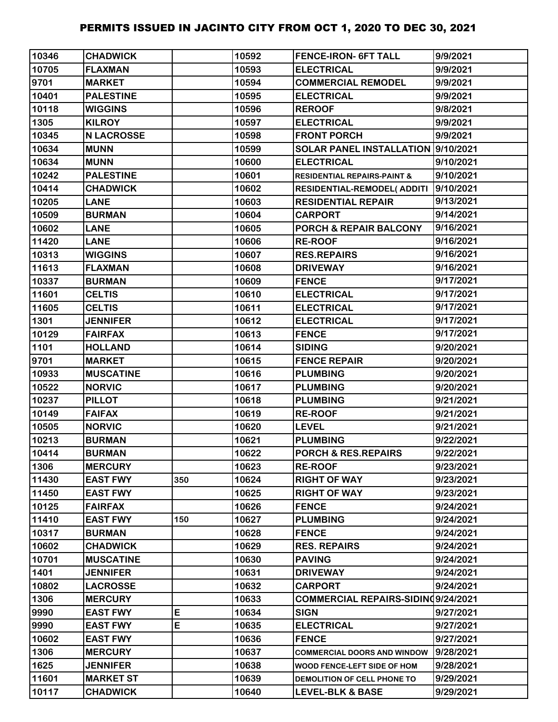| 10346 | <b>CHADWICK</b>   |     | 10592 | <b>FENCE-IRON- 6FT TALL</b>            | 9/9/2021  |
|-------|-------------------|-----|-------|----------------------------------------|-----------|
| 10705 | <b>FLAXMAN</b>    |     | 10593 | <b>ELECTRICAL</b>                      | 9/9/2021  |
| 9701  | <b>MARKET</b>     |     | 10594 | <b>COMMERCIAL REMODEL</b>              | 9/9/2021  |
| 10401 | <b>PALESTINE</b>  |     | 10595 | <b>ELECTRICAL</b>                      | 9/9/2021  |
| 10118 | <b>WIGGINS</b>    |     | 10596 | <b>REROOF</b>                          | 9/8/2021  |
| 1305  | <b>KILROY</b>     |     | 10597 | <b>ELECTRICAL</b>                      | 9/9/2021  |
| 10345 | <b>N LACROSSE</b> |     | 10598 | <b>FRONT PORCH</b>                     | 9/9/2021  |
| 10634 | <b>MUNN</b>       |     | 10599 | SOLAR PANEL INSTALLATION  9/10/2021    |           |
| 10634 | <b>MUNN</b>       |     | 10600 | <b>ELECTRICAL</b>                      | 9/10/2021 |
| 10242 | <b>PALESTINE</b>  |     | 10601 | <b>RESIDENTIAL REPAIRS-PAINT &amp;</b> | 9/10/2021 |
| 10414 | <b>CHADWICK</b>   |     | 10602 | RESIDENTIAL-REMODEL(ADDITI             | 9/10/2021 |
| 10205 | <b>LANE</b>       |     | 10603 | <b>RESIDENTIAL REPAIR</b>              | 9/13/2021 |
| 10509 | <b>BURMAN</b>     |     | 10604 | <b>CARPORT</b>                         | 9/14/2021 |
| 10602 | <b>LANE</b>       |     | 10605 | <b>PORCH &amp; REPAIR BALCONY</b>      | 9/16/2021 |
| 11420 | <b>LANE</b>       |     | 10606 | <b>RE-ROOF</b>                         | 9/16/2021 |
| 10313 | <b>WIGGINS</b>    |     | 10607 | <b>RES.REPAIRS</b>                     | 9/16/2021 |
| 11613 | <b>FLAXMAN</b>    |     | 10608 | <b>DRIVEWAY</b>                        | 9/16/2021 |
| 10337 | <b>BURMAN</b>     |     | 10609 | <b>FENCE</b>                           | 9/17/2021 |
| 11601 | <b>CELTIS</b>     |     | 10610 | <b>ELECTRICAL</b>                      | 9/17/2021 |
| 11605 | <b>CELTIS</b>     |     | 10611 | <b>ELECTRICAL</b>                      | 9/17/2021 |
| 1301  | <b>JENNIFER</b>   |     | 10612 | <b>ELECTRICAL</b>                      | 9/17/2021 |
| 10129 | <b>FAIRFAX</b>    |     | 10613 | <b>FENCE</b>                           | 9/17/2021 |
| 1101  | <b>HOLLAND</b>    |     | 10614 | <b>SIDING</b>                          | 9/20/2021 |
| 9701  | <b>MARKET</b>     |     | 10615 | <b>FENCE REPAIR</b>                    | 9/20/2021 |
| 10933 | <b>MUSCATINE</b>  |     | 10616 | <b>PLUMBING</b>                        | 9/20/2021 |
| 10522 | <b>NORVIC</b>     |     | 10617 | <b>PLUMBING</b>                        | 9/20/2021 |
| 10237 | <b>PILLOT</b>     |     | 10618 | <b>PLUMBING</b>                        | 9/21/2021 |
| 10149 | <b>FAIFAX</b>     |     | 10619 | <b>RE-ROOF</b>                         | 9/21/2021 |
| 10505 | <b>NORVIC</b>     |     | 10620 | <b>LEVEL</b>                           | 9/21/2021 |
| 10213 | <b>BURMAN</b>     |     | 10621 | <b>PLUMBING</b>                        | 9/22/2021 |
| 10414 | <b>BURMAN</b>     |     | 10622 | PORCH & RES.REPAIRS                    | 9/22/2021 |
| 1306  | <b>MERCURY</b>    |     | 10623 | <b>RE-ROOF</b>                         | 9/23/2021 |
| 11430 | <b>EAST FWY</b>   | 350 | 10624 | <b>RIGHT OF WAY</b>                    | 9/23/2021 |
| 11450 | <b>EAST FWY</b>   |     | 10625 | <b>RIGHT OF WAY</b>                    | 9/23/2021 |
| 10125 | <b>FAIRFAX</b>    |     | 10626 | <b>FENCE</b>                           | 9/24/2021 |
| 11410 | <b>EAST FWY</b>   | 150 | 10627 | <b>PLUMBING</b>                        | 9/24/2021 |
| 10317 | <b>BURMAN</b>     |     | 10628 | <b>FENCE</b>                           | 9/24/2021 |
| 10602 | <b>CHADWICK</b>   |     | 10629 | <b>RES. REPAIRS</b>                    | 9/24/2021 |
| 10701 | <b>MUSCATINE</b>  |     | 10630 | <b>PAVING</b>                          | 9/24/2021 |
| 1401  | <b>JENNIFER</b>   |     | 10631 | <b>DRIVEWAY</b>                        | 9/24/2021 |
| 10802 | <b>LACROSSE</b>   |     | 10632 | <b>CARPORT</b>                         | 9/24/2021 |
| 1306  | <b>MERCURY</b>    |     | 10633 | COMMERCIAL REPAIRS-SIDINQ9/24/2021     |           |
| 9990  | <b>EAST FWY</b>   | E   | 10634 | <b>SIGN</b>                            | 9/27/2021 |
| 9990  | <b>EAST FWY</b>   | E   | 10635 | <b>ELECTRICAL</b>                      | 9/27/2021 |
| 10602 | <b>EAST FWY</b>   |     | 10636 | <b>FENCE</b>                           | 9/27/2021 |
| 1306  | <b>MERCURY</b>    |     | 10637 | <b>COMMERCIAL DOORS AND WINDOW</b>     | 9/28/2021 |
| 1625  | <b>JENNIFER</b>   |     | 10638 | WOOD FENCE-LEFT SIDE OF HOM            | 9/28/2021 |
| 11601 | <b>MARKET ST</b>  |     | 10639 | DEMOLITION OF CELL PHONE TO            | 9/29/2021 |
| 10117 | <b>CHADWICK</b>   |     | 10640 | <b>LEVEL-BLK &amp; BASE</b>            | 9/29/2021 |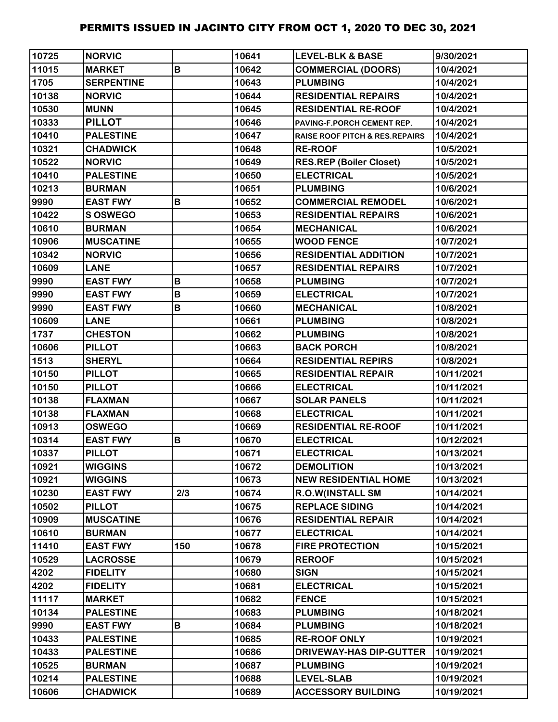| 10725 | <b>NORVIC</b>     |     | 10641 | <b>LEVEL-BLK &amp; BASE</b>               | 9/30/2021  |
|-------|-------------------|-----|-------|-------------------------------------------|------------|
| 11015 | <b>MARKET</b>     | B   | 10642 | <b>COMMERCIAL (DOORS)</b>                 | 10/4/2021  |
| 1705  | <b>SERPENTINE</b> |     | 10643 | <b>PLUMBING</b>                           | 10/4/2021  |
| 10138 | <b>NORVIC</b>     |     | 10644 | <b>RESIDENTIAL REPAIRS</b>                | 10/4/2021  |
| 10530 | <b>MUNN</b>       |     | 10645 | <b>RESIDENTIAL RE-ROOF</b>                | 10/4/2021  |
| 10333 | <b>PILLOT</b>     |     | 10646 | PAVING-F.PORCH CEMENT REP.                | 10/4/2021  |
| 10410 | <b>PALESTINE</b>  |     | 10647 | <b>RAISE ROOF PITCH &amp; RES.REPAIRS</b> | 10/4/2021  |
| 10321 | <b>CHADWICK</b>   |     | 10648 | <b>RE-ROOF</b>                            | 10/5/2021  |
| 10522 | <b>NORVIC</b>     |     | 10649 | <b>RES.REP (Boiler Closet)</b>            | 10/5/2021  |
| 10410 | <b>PALESTINE</b>  |     | 10650 | <b>ELECTRICAL</b>                         | 10/5/2021  |
| 10213 | <b>BURMAN</b>     |     | 10651 | <b>PLUMBING</b>                           | 10/6/2021  |
| 9990  | <b>EAST FWY</b>   | B   | 10652 | <b>COMMERCIAL REMODEL</b>                 | 10/6/2021  |
| 10422 | <b>S OSWEGO</b>   |     | 10653 | <b>RESIDENTIAL REPAIRS</b>                | 10/6/2021  |
| 10610 | <b>BURMAN</b>     |     | 10654 | <b>MECHANICAL</b>                         | 10/6/2021  |
| 10906 | <b>MUSCATINE</b>  |     | 10655 | <b>WOOD FENCE</b>                         | 10/7/2021  |
| 10342 | <b>NORVIC</b>     |     | 10656 | <b>RESIDENTIAL ADDITION</b>               | 10/7/2021  |
| 10609 | <b>LANE</b>       |     | 10657 | <b>RESIDENTIAL REPAIRS</b>                | 10/7/2021  |
| 9990  | <b>EAST FWY</b>   | B   | 10658 | <b>PLUMBING</b>                           | 10/7/2021  |
| 9990  | <b>EAST FWY</b>   | B   | 10659 | <b>ELECTRICAL</b>                         | 10/7/2021  |
| 9990  | <b>EAST FWY</b>   | B   | 10660 | <b>MECHANICAL</b>                         | 10/8/2021  |
| 10609 | <b>LANE</b>       |     | 10661 | <b>PLUMBING</b>                           | 10/8/2021  |
| 1737  | <b>CHESTON</b>    |     | 10662 | <b>PLUMBING</b>                           | 10/8/2021  |
| 10606 | <b>PILLOT</b>     |     | 10663 | <b>BACK PORCH</b>                         | 10/8/2021  |
| 1513  | <b>SHERYL</b>     |     | 10664 | <b>RESIDENTIAL REPIRS</b>                 | 10/8/2021  |
| 10150 | <b>PILLOT</b>     |     | 10665 | <b>RESIDENTIAL REPAIR</b>                 | 10/11/2021 |
| 10150 | <b>PILLOT</b>     |     | 10666 | <b>ELECTRICAL</b>                         | 10/11/2021 |
| 10138 | <b>FLAXMAN</b>    |     | 10667 | <b>SOLAR PANELS</b>                       | 10/11/2021 |
| 10138 | <b>FLAXMAN</b>    |     | 10668 | <b>ELECTRICAL</b>                         | 10/11/2021 |
| 10913 | <b>OSWEGO</b>     |     | 10669 | <b>RESIDENTIAL RE-ROOF</b>                | 10/11/2021 |
| 10314 | <b>EAST FWY</b>   | B   | 10670 | <b>ELECTRICAL</b>                         | 10/12/2021 |
| 10337 | <b>PILLOT</b>     |     | 10671 | <b>ELECTRICAL</b>                         | 10/13/2021 |
| 10921 | <b>WIGGINS</b>    |     | 10672 | <b>DEMOLITION</b>                         | 10/13/2021 |
| 10921 | <b>WIGGINS</b>    |     | 10673 | <b>NEW RESIDENTIAL HOME</b>               | 10/13/2021 |
| 10230 | <b>EAST FWY</b>   | 2/3 | 10674 | <b>R.O.W(INSTALL SM</b>                   | 10/14/2021 |
| 10502 | <b>PILLOT</b>     |     | 10675 | <b>REPLACE SIDING</b>                     | 10/14/2021 |
| 10909 | <b>MUSCATINE</b>  |     | 10676 | <b>RESIDENTIAL REPAIR</b>                 | 10/14/2021 |
| 10610 | <b>BURMAN</b>     |     | 10677 | <b>ELECTRICAL</b>                         | 10/14/2021 |
| 11410 | <b>EAST FWY</b>   | 150 | 10678 | <b>FIRE PROTECTION</b>                    | 10/15/2021 |
| 10529 | <b>LACROSSE</b>   |     | 10679 | <b>REROOF</b>                             | 10/15/2021 |
| 4202  | <b>FIDELITY</b>   |     | 10680 | <b>SIGN</b>                               | 10/15/2021 |
| 4202  | <b>FIDELITY</b>   |     | 10681 | <b>ELECTRICAL</b>                         | 10/15/2021 |
| 11117 | <b>MARKET</b>     |     | 10682 | <b>FENCE</b>                              | 10/15/2021 |
| 10134 | <b>PALESTINE</b>  |     | 10683 | <b>PLUMBING</b>                           | 10/18/2021 |
| 9990  | <b>EAST FWY</b>   | B   | 10684 | <b>PLUMBING</b>                           | 10/18/2021 |
| 10433 | <b>PALESTINE</b>  |     | 10685 | <b>RE-ROOF ONLY</b>                       | 10/19/2021 |
| 10433 | <b>PALESTINE</b>  |     | 10686 | <b>DRIVEWAY-HAS DIP-GUTTER</b>            | 10/19/2021 |
| 10525 | <b>BURMAN</b>     |     | 10687 | <b>PLUMBING</b>                           | 10/19/2021 |
| 10214 | <b>PALESTINE</b>  |     | 10688 | <b>LEVEL-SLAB</b>                         | 10/19/2021 |
| 10606 | <b>CHADWICK</b>   |     | 10689 | <b>ACCESSORY BUILDING</b>                 | 10/19/2021 |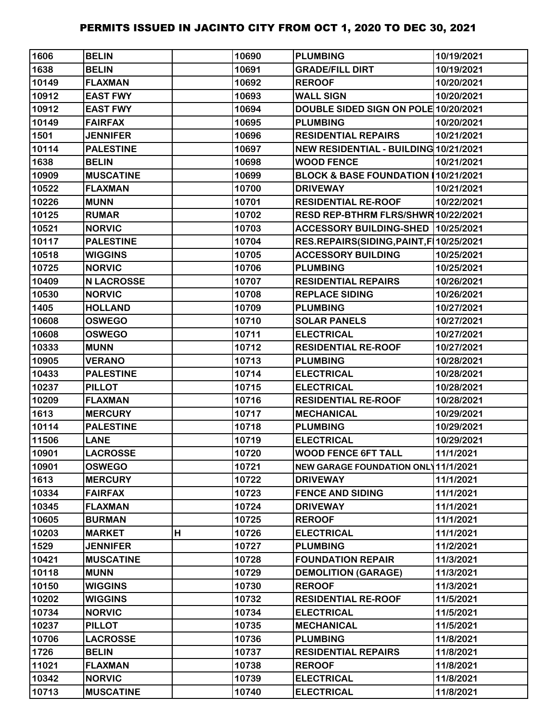| 1606  | <b>BELIN</b>      |   | 10690 | <b>PLUMBING</b>                            | 10/19/2021 |
|-------|-------------------|---|-------|--------------------------------------------|------------|
| 1638  | <b>BELIN</b>      |   | 10691 | <b>GRADE/FILL DIRT</b>                     | 10/19/2021 |
| 10149 | <b>FLAXMAN</b>    |   | 10692 | <b>REROOF</b>                              | 10/20/2021 |
| 10912 | <b>EAST FWY</b>   |   | 10693 | <b>WALL SIGN</b>                           | 10/20/2021 |
| 10912 | <b>EAST FWY</b>   |   | 10694 | DOUBLE SIDED SIGN ON POLE 10/20/2021       |            |
| 10149 | <b>FAIRFAX</b>    |   | 10695 | <b>PLUMBING</b>                            | 10/20/2021 |
| 1501  | <b>JENNIFER</b>   |   | 10696 | <b>RESIDENTIAL REPAIRS</b>                 | 10/21/2021 |
| 10114 | <b>PALESTINE</b>  |   | 10697 | NEW RESIDENTIAL - BUILDING 10/21/2021      |            |
| 1638  | <b>BELIN</b>      |   | 10698 | <b>WOOD FENCE</b>                          | 10/21/2021 |
| 10909 | <b>MUSCATINE</b>  |   | 10699 | BLOCK & BASE FOUNDATION (10/21/2021        |            |
| 10522 | <b>FLAXMAN</b>    |   | 10700 | <b>DRIVEWAY</b>                            | 10/21/2021 |
| 10226 | <b>MUNN</b>       |   | 10701 | <b>RESIDENTIAL RE-ROOF</b>                 | 10/22/2021 |
| 10125 | <b>RUMAR</b>      |   | 10702 | RESD REP-BTHRM FLRS/SHWR 10/22/2021        |            |
| 10521 | <b>NORVIC</b>     |   | 10703 | ACCESSORY BUILDING-SHED 10/25/2021         |            |
| 10117 | <b>PALESTINE</b>  |   | 10704 | RES.REPAIRS(SIDING, PAINT, F 10/25/2021    |            |
| 10518 | <b>WIGGINS</b>    |   | 10705 | <b>ACCESSORY BUILDING</b>                  | 10/25/2021 |
| 10725 | <b>NORVIC</b>     |   | 10706 | <b>PLUMBING</b>                            | 10/25/2021 |
| 10409 | <b>N LACROSSE</b> |   | 10707 | <b>RESIDENTIAL REPAIRS</b>                 | 10/26/2021 |
| 10530 | <b>NORVIC</b>     |   | 10708 | <b>REPLACE SIDING</b>                      | 10/26/2021 |
| 1405  | <b>HOLLAND</b>    |   | 10709 | <b>PLUMBING</b>                            | 10/27/2021 |
| 10608 | <b>OSWEGO</b>     |   | 10710 | <b>SOLAR PANELS</b>                        | 10/27/2021 |
| 10608 | <b>OSWEGO</b>     |   | 10711 | <b>ELECTRICAL</b>                          | 10/27/2021 |
| 10333 | <b>MUNN</b>       |   | 10712 | <b>RESIDENTIAL RE-ROOF</b>                 | 10/27/2021 |
| 10905 | <b>VERANO</b>     |   | 10713 | <b>PLUMBING</b>                            | 10/28/2021 |
| 10433 | <b>PALESTINE</b>  |   | 10714 | <b>ELECTRICAL</b>                          | 10/28/2021 |
| 10237 | <b>PILLOT</b>     |   | 10715 | <b>ELECTRICAL</b>                          | 10/28/2021 |
| 10209 | <b>FLAXMAN</b>    |   | 10716 | <b>RESIDENTIAL RE-ROOF</b>                 | 10/28/2021 |
| 1613  | <b>MERCURY</b>    |   | 10717 | <b>MECHANICAL</b>                          | 10/29/2021 |
| 10114 | <b>PALESTINE</b>  |   | 10718 | <b>PLUMBING</b>                            | 10/29/2021 |
| 11506 | <b>LANE</b>       |   | 10719 | <b>ELECTRICAL</b>                          | 10/29/2021 |
| 10901 | <b>LACROSSE</b>   |   | 10720 | <b>WOOD FENCE 6FT TALL</b>                 | 11/1/2021  |
| 10901 | <b>OSWEGO</b>     |   | 10721 | <b>NEW GARAGE FOUNDATION ONL 11/1/2021</b> |            |
| 1613  | <b>MERCURY</b>    |   | 10722 | <b>DRIVEWAY</b>                            | 11/1/2021  |
| 10334 | <b>FAIRFAX</b>    |   | 10723 | <b>FENCE AND SIDING</b>                    | 11/1/2021  |
| 10345 | <b>FLAXMAN</b>    |   | 10724 | <b>DRIVEWAY</b>                            | 11/1/2021  |
| 10605 | <b>BURMAN</b>     |   | 10725 | <b>REROOF</b>                              | 11/1/2021  |
| 10203 | <b>MARKET</b>     | н | 10726 | <b>ELECTRICAL</b>                          | 11/1/2021  |
| 1529  | <b>JENNIFER</b>   |   | 10727 | <b>PLUMBING</b>                            | 11/2/2021  |
| 10421 | <b>MUSCATINE</b>  |   | 10728 | <b>FOUNDATION REPAIR</b>                   | 11/3/2021  |
| 10118 | <b>MUNN</b>       |   | 10729 | <b>DEMOLITION (GARAGE)</b>                 | 11/3/2021  |
| 10150 | <b>WIGGINS</b>    |   | 10730 | <b>REROOF</b>                              | 11/3/2021  |
| 10202 | <b>WIGGINS</b>    |   | 10732 | <b>RESIDENTIAL RE-ROOF</b>                 | 11/5/2021  |
| 10734 | <b>NORVIC</b>     |   | 10734 | <b>ELECTRICAL</b>                          | 11/5/2021  |
| 10237 | <b>PILLOT</b>     |   | 10735 | <b>MECHANICAL</b>                          | 11/5/2021  |
| 10706 | <b>LACROSSE</b>   |   | 10736 | <b>PLUMBING</b>                            | 11/8/2021  |
| 1726  | <b>BELIN</b>      |   | 10737 | <b>RESIDENTIAL REPAIRS</b>                 | 11/8/2021  |
| 11021 | <b>FLAXMAN</b>    |   | 10738 | <b>REROOF</b>                              | 11/8/2021  |
| 10342 | <b>NORVIC</b>     |   | 10739 | <b>ELECTRICAL</b>                          | 11/8/2021  |
| 10713 | <b>MUSCATINE</b>  |   | 10740 | <b>ELECTRICAL</b>                          | 11/8/2021  |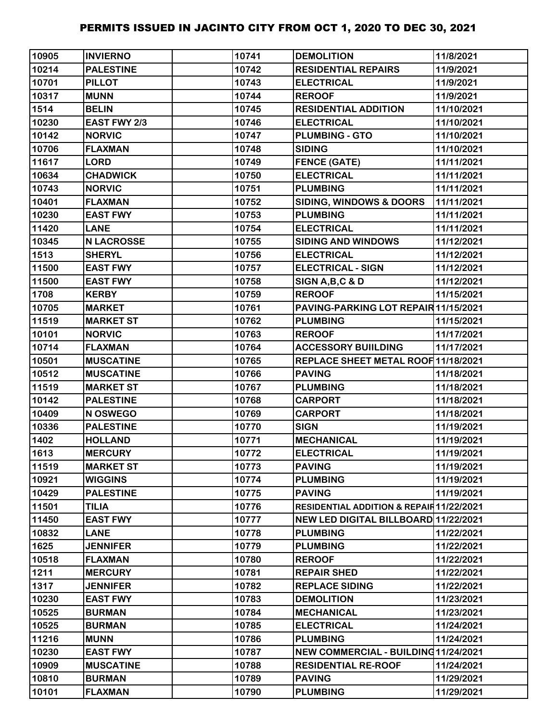| 10905 | <b>INVIERNO</b>   | 10741 | <b>DEMOLITION</b>                        | 11/8/2021  |
|-------|-------------------|-------|------------------------------------------|------------|
| 10214 | <b>PALESTINE</b>  | 10742 | <b>RESIDENTIAL REPAIRS</b>               | 11/9/2021  |
| 10701 | <b>PILLOT</b>     | 10743 | <b>ELECTRICAL</b>                        | 11/9/2021  |
| 10317 | <b>MUNN</b>       | 10744 | <b>REROOF</b>                            | 11/9/2021  |
| 1514  | <b>BELIN</b>      | 10745 | <b>RESIDENTIAL ADDITION</b>              | 11/10/2021 |
| 10230 | EAST FWY 2/3      | 10746 | <b>ELECTRICAL</b>                        | 11/10/2021 |
| 10142 | <b>NORVIC</b>     | 10747 | <b>PLUMBING - GTO</b>                    | 11/10/2021 |
| 10706 | <b>FLAXMAN</b>    | 10748 | <b>SIDING</b>                            | 11/10/2021 |
| 11617 | <b>LORD</b>       | 10749 | <b>FENCE (GATE)</b>                      | 11/11/2021 |
| 10634 | <b>CHADWICK</b>   | 10750 | <b>ELECTRICAL</b>                        | 11/11/2021 |
| 10743 | <b>NORVIC</b>     | 10751 | <b>PLUMBING</b>                          | 11/11/2021 |
| 10401 | <b>FLAXMAN</b>    | 10752 | <b>SIDING, WINDOWS &amp; DOORS</b>       | 11/11/2021 |
| 10230 | <b>EAST FWY</b>   | 10753 | <b>PLUMBING</b>                          | 11/11/2021 |
| 11420 | <b>LANE</b>       | 10754 | <b>ELECTRICAL</b>                        | 11/11/2021 |
| 10345 | <b>N LACROSSE</b> | 10755 | <b>SIDING AND WINDOWS</b>                | 11/12/2021 |
| 1513  | <b>SHERYL</b>     | 10756 | <b>ELECTRICAL</b>                        | 11/12/2021 |
| 11500 | <b>EAST FWY</b>   | 10757 | <b>ELECTRICAL - SIGN</b>                 | 11/12/2021 |
| 11500 | <b>EAST FWY</b>   | 10758 | SIGN A, B, C & D                         | 11/12/2021 |
| 1708  | <b>KERBY</b>      | 10759 | <b>REROOF</b>                            | 11/15/2021 |
| 10705 | <b>MARKET</b>     | 10761 | PAVING-PARKING LOT REPAIR 11/15/2021     |            |
| 11519 | <b>MARKET ST</b>  | 10762 | <b>PLUMBING</b>                          | 11/15/2021 |
| 10101 | <b>NORVIC</b>     | 10763 | <b>REROOF</b>                            | 11/17/2021 |
| 10714 | <b>FLAXMAN</b>    | 10764 | <b>ACCESSORY BUIILDING</b>               | 11/17/2021 |
| 10501 | <b>MUSCATINE</b>  | 10765 | REPLACE SHEET METAL ROOF 11/18/2021      |            |
| 10512 | <b>MUSCATINE</b>  | 10766 | <b>PAVING</b>                            | 11/18/2021 |
| 11519 | <b>MARKET ST</b>  | 10767 | <b>PLUMBING</b>                          | 11/18/2021 |
| 10142 | <b>PALESTINE</b>  | 10768 | <b>CARPORT</b>                           | 11/18/2021 |
| 10409 | N OSWEGO          | 10769 | <b>CARPORT</b>                           | 11/18/2021 |
| 10336 | <b>PALESTINE</b>  | 10770 | <b>SIGN</b>                              | 11/19/2021 |
| 1402  | <b>HOLLAND</b>    | 10771 | <b>MECHANICAL</b>                        | 11/19/2021 |
| 1613  | <b>MERCURY</b>    | 10772 | <b>ELECTRICAL</b>                        | 11/19/2021 |
| 11519 | <b>MARKET ST</b>  | 10773 | <b>PAVING</b>                            | 11/19/2021 |
| 10921 | <b>WIGGINS</b>    | 10774 | <b>PLUMBING</b>                          | 11/19/2021 |
| 10429 | <b>PALESTINE</b>  | 10775 | <b>PAVING</b>                            | 11/19/2021 |
| 11501 | <b>TILIA</b>      | 10776 | RESIDENTIAL ADDITION & REPAIR 11/22/2021 |            |
| 11450 | <b>EAST FWY</b>   | 10777 | NEW LED DIGITAL BILLBOARD 11/22/2021     |            |
| 10832 | <b>LANE</b>       | 10778 | <b>PLUMBING</b>                          | 11/22/2021 |
| 1625  | <b>JENNIFER</b>   | 10779 | <b>PLUMBING</b>                          | 11/22/2021 |
| 10518 | <b>FLAXMAN</b>    | 10780 | <b>REROOF</b>                            | 11/22/2021 |
| 1211  | <b>MERCURY</b>    | 10781 | <b>REPAIR SHED</b>                       | 11/22/2021 |
| 1317  | <b>JENNIFER</b>   | 10782 | <b>REPLACE SIDING</b>                    | 11/22/2021 |
| 10230 | <b>EAST FWY</b>   | 10783 | <b>DEMOLITION</b>                        | 11/23/2021 |
| 10525 | <b>BURMAN</b>     | 10784 | <b>MECHANICAL</b>                        | 11/23/2021 |
| 10525 | <b>BURMAN</b>     | 10785 | <b>ELECTRICAL</b>                        | 11/24/2021 |
| 11216 | <b>MUNN</b>       | 10786 | <b>PLUMBING</b>                          | 11/24/2021 |
| 10230 | <b>EAST FWY</b>   | 10787 | NEW COMMERCIAL - BUILDING11/24/2021      |            |
| 10909 | <b>MUSCATINE</b>  | 10788 | <b>RESIDENTIAL RE-ROOF</b>               | 11/24/2021 |
| 10810 | <b>BURMAN</b>     | 10789 | <b>PAVING</b>                            | 11/29/2021 |
| 10101 | <b>FLAXMAN</b>    | 10790 | <b>PLUMBING</b>                          | 11/29/2021 |